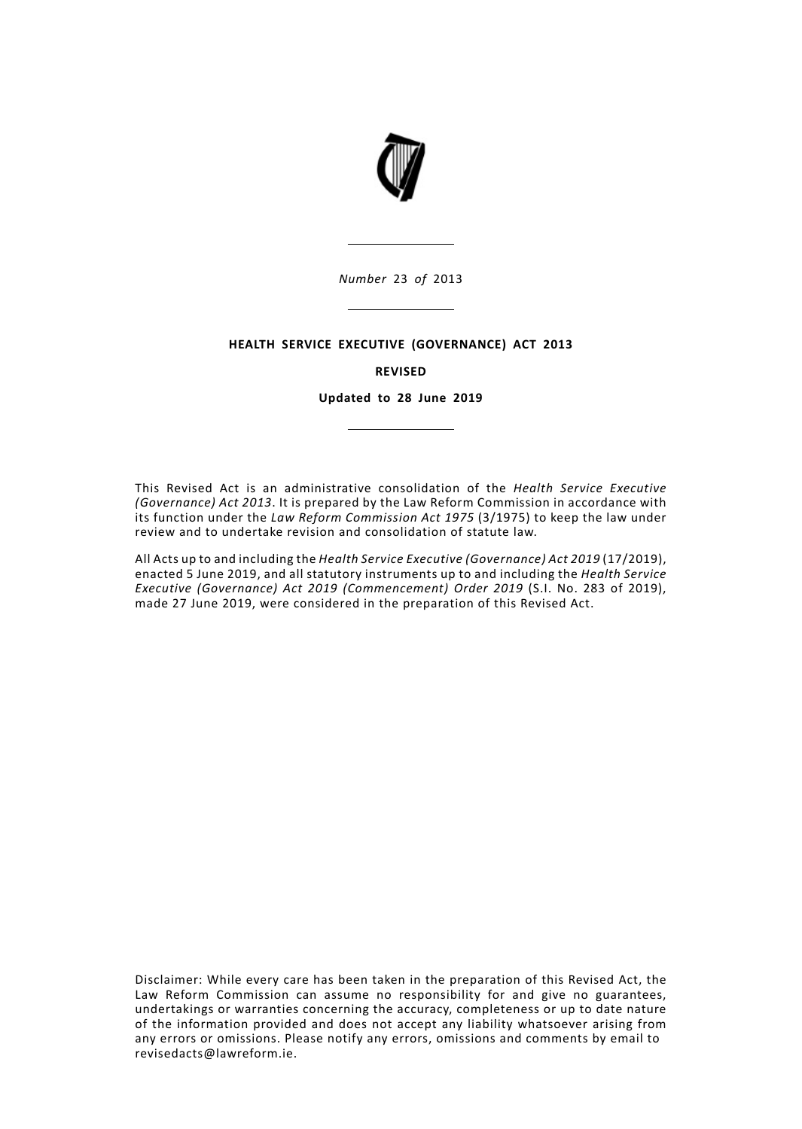

*Number* 23 *of* 2013

#### **HEALTH SERVICE EXECUTIVE (GOVERNANCE) ACT 2013**

#### **REVISED**

**Updated to 28 June 2019**

This Revised Act is an administrative consolidation of the *Health Service Executive (Governance) Act 2013*. It is prepared by the Law Reform Commission in accordance with its function under the *Law Reform Commission Act 1975* (3/1975) to keep the law under review and to undertake revision and consolidation of statute law.

All Acts up to and including the *Health Service Executive (Governance) Act 2019* (17/2019), enacted 5 June 2019, and all statutory instruments up to and including the *Health Service Executive (Governance) Act 2019 (Commencement) Order 2019* (S.I. No. 283 of 2019), made 27 June 2019, were considered in the preparation of this Revised Act.

Disclaimer: While every care has been taken in the preparation of this Revised Act, the Law Reform Commission can assume no responsibility for and give no guarantees, undertakings or warranties concerning the accuracy, completeness or up to date nature of the information provided and does not accept any liability whatsoever arising from any errors or omissions. Please notify any errors, omissions and comments by email to revisedacts@lawreform.ie.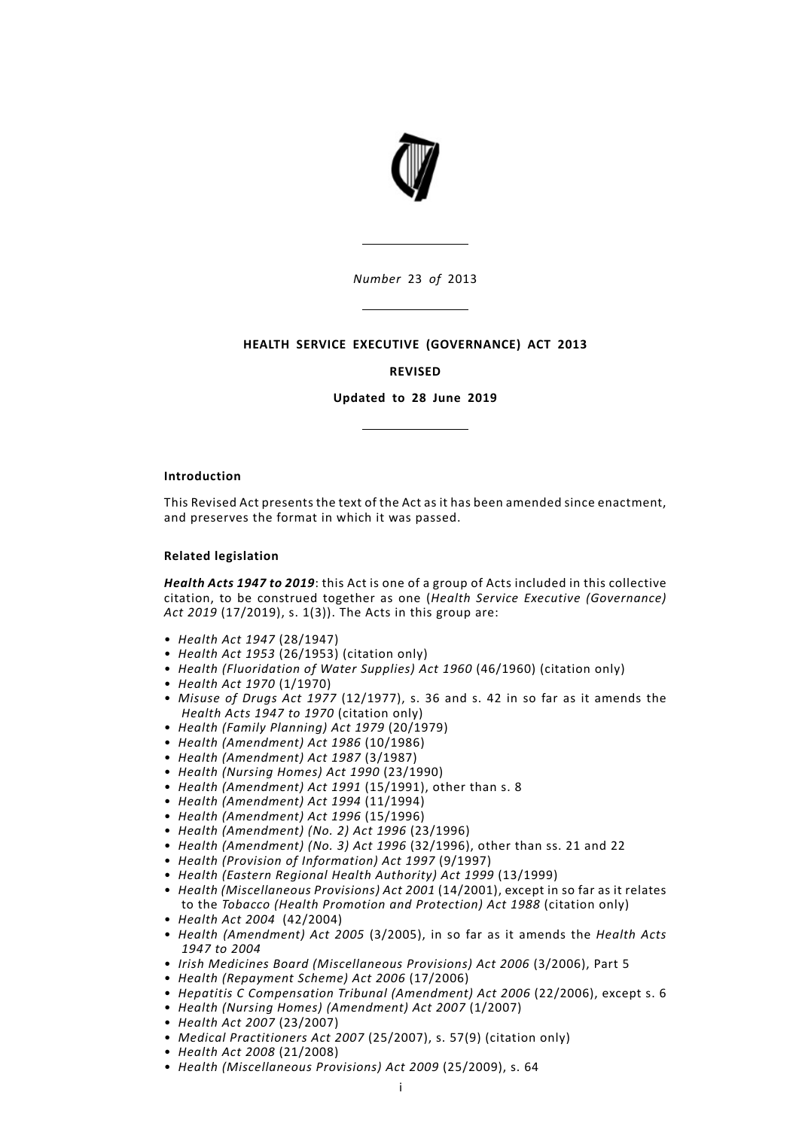

*Number* 23 *of* 2013

### **HEALTH SERVICE EXECUTIVE (GOVERNANCE) ACT 2013**

#### **REVISED**

**Updated to 28 June 2019**

#### **Introduction**

This Revised Act presents the text of the Act as it has been amended since enactment, and preserves the format in which it was passed.

#### **Related legislation**

*Health Acts 1947 to 2019*: this Act is one of a group of Acts included in this collective citation, to be construed together as one (*Health Service Executive (Governance) Act 2019* (17/2019), s. 1(3)). The Acts in this group are:

- *Health Act 1947* (28/1947)
- *Health Act 1953* (26/1953) (citation only)
- *Health (Fluoridation of Water Supplies) Act 1960* (46/1960) (citation only)
- *Health Act 1970* (1/1970)
- *Misuse of Drugs Act 1977* (12/1977), s. 36 and s. 42 in so far as it amends the *Health Acts 1947 to 1970* (citation only)
- *Health (Family Planning) Act 1979* (20/1979)
- *Health (Amendment) Act 1986* (10/1986)
- *Health (Amendment) Act 1987* (3/1987)
- *Health (Nursing Homes) Act 1990* (23/1990)
- *Health (Amendment) Act 1991* (15/1991), other than s. 8
- *Health (Amendment) Act 1994* (11/1994)
- *Health (Amendment) Act 1996* (15/1996)
- *Health (Amendment) (No. 2) Act 1996* (23/1996)
- *Health (Amendment) (No. 3) Act 1996* (32/1996), other than ss. 21 and 22
- *Health (Provision of Information) Act 1997* (9/1997)
- *Health (Eastern Regional Health Authority) Act 1999* (13/1999)
- *Health (Miscellaneous Provisions) Act 2001* (14/2001), except in so far as it relates to the *Tobacco (Health Promotion and Protection) Act 1988* (citation only)
- *Health Act 2004* (42/2004)
- *Health (Amendment) Act 2005* (3/2005), in so far as it amends the *Health Acts 1947 to 2004*
- *Irish Medicines Board (Miscellaneous Provisions) Act 2006* (3/2006), Part 5
- *Health (Repayment Scheme) Act 2006* (17/2006)
- *Hepatitis C Compensation Tribunal (Amendment) Act 2006* (22/2006), except s. 6
- *Health (Nursing Homes) (Amendment) Act 2007* (1/2007)
- *Health Act 2007* (23/2007)
- *Medical Practitioners Act 2007* (25/2007), s. 57(9) (citation only)
- *Health Act 2008* (21/2008)
- *Health (Miscellaneous Provisions) Act 2009* (25/2009), s. 64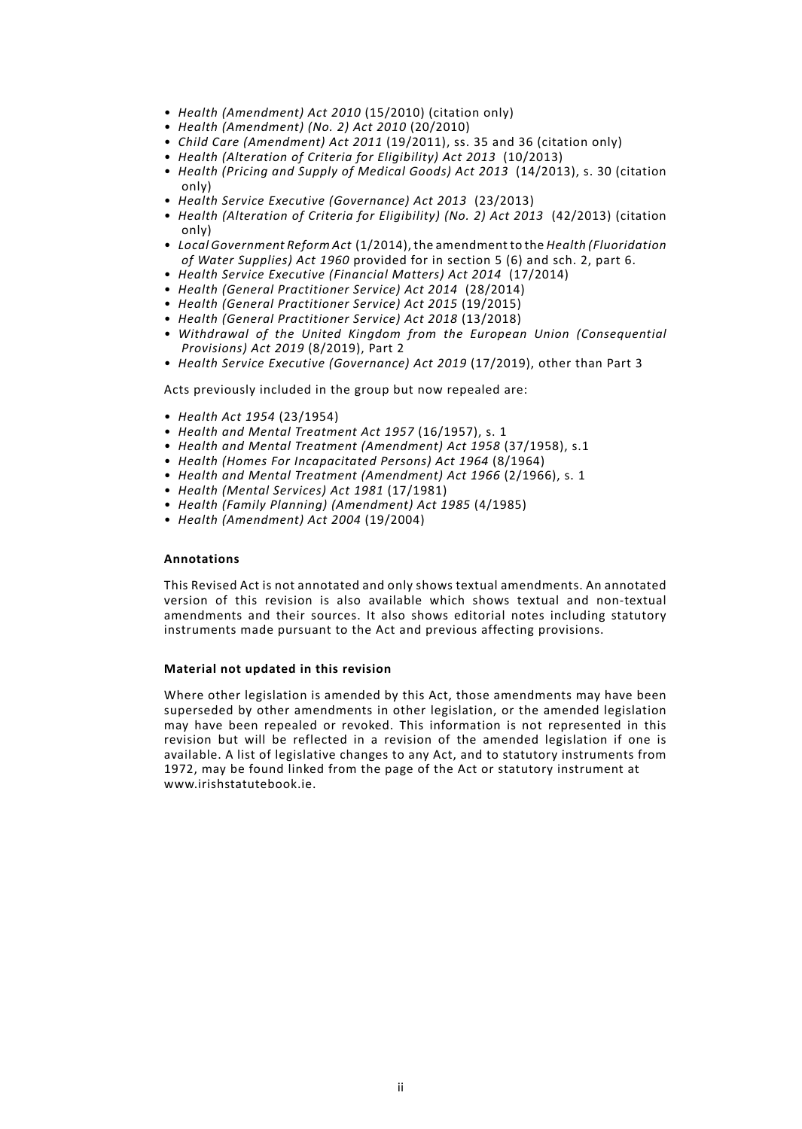- *Health (Amendment) Act 2010* (15/2010) (citation only)
- *Health (Amendment) (No. 2) Act 2010* (20/2010)
- *Child Care (Amendment) Act 2011* (19/2011), ss. 35 and 36 (citation only)
- *Health (Alteration of Criteria for Eligibility) Act 2013* (10/2013)
- *Health (Pricing and Supply of Medical Goods) Act 2013* (14/2013), s. 30 (citation only)
- *Health Service Executive (Governance) Act 2013* (23/2013)
- *Health (Alteration of Criteria for Eligibility) (No. 2) Act 2013* (42/2013) (citation only)
- *Local Government Reform Act* (1/2014), the amendment to the *Health (Fluoridation of Water Supplies) Act 1960* provided for in section 5 (6) and sch. 2, part 6.
- *Health Service Executive (Financial Matters) Act 2014* (17/2014)
- *Health (General Practitioner Service) Act 2014* (28/2014)
- *Health (General Practitioner Service) Act 2015* (19/2015)
- *Health (General Practitioner Service) Act 2018* (13/2018)
- *Withdrawal of the United Kingdom from the European Union (Consequential Provisions) Act 2019* (8/2019), Part 2
- *Health Service Executive (Governance) Act 2019* (17/2019), other than Part 3

Acts previously included in the group but now repealed are:

- *Health Act 1954* (23/1954)
- *Health and Mental Treatment Act 1957* (16/1957), s. 1
- *Health and Mental Treatment (Amendment) Act 1958* (37/1958), s.1
- *Health (Homes For Incapacitated Persons) Act 1964* (8/1964)
- *Health and Mental Treatment (Amendment) Act 1966* (2/1966), s. 1
- *Health (Mental Services) Act 1981* (17/1981)
- *Health (Family Planning) (Amendment) Act 1985* (4/1985)
- *Health (Amendment) Act 2004* (19/2004)

#### **Annotations**

This Revised Act is not annotated and only shows textual amendments. An annotated version of this revision is also available which shows textual and non-textual amendments and their sources. It also shows editorial notes including statutory instruments made pursuant to the Act and previous affecting provisions.

#### **Material not updated in this revision**

Where other legislation is amended by this Act, those amendments may have been superseded by other amendments in other legislation, or the amended legislation may have been repealed or revoked. This information is not represented in this revision but will be reflected in a revision of the amended legislation if one is available. A list of legislative changes to any Act, and to statutory instruments from 1972, may be found linked from the page of the Act or statutory instrument at www.irishstatutebook.ie.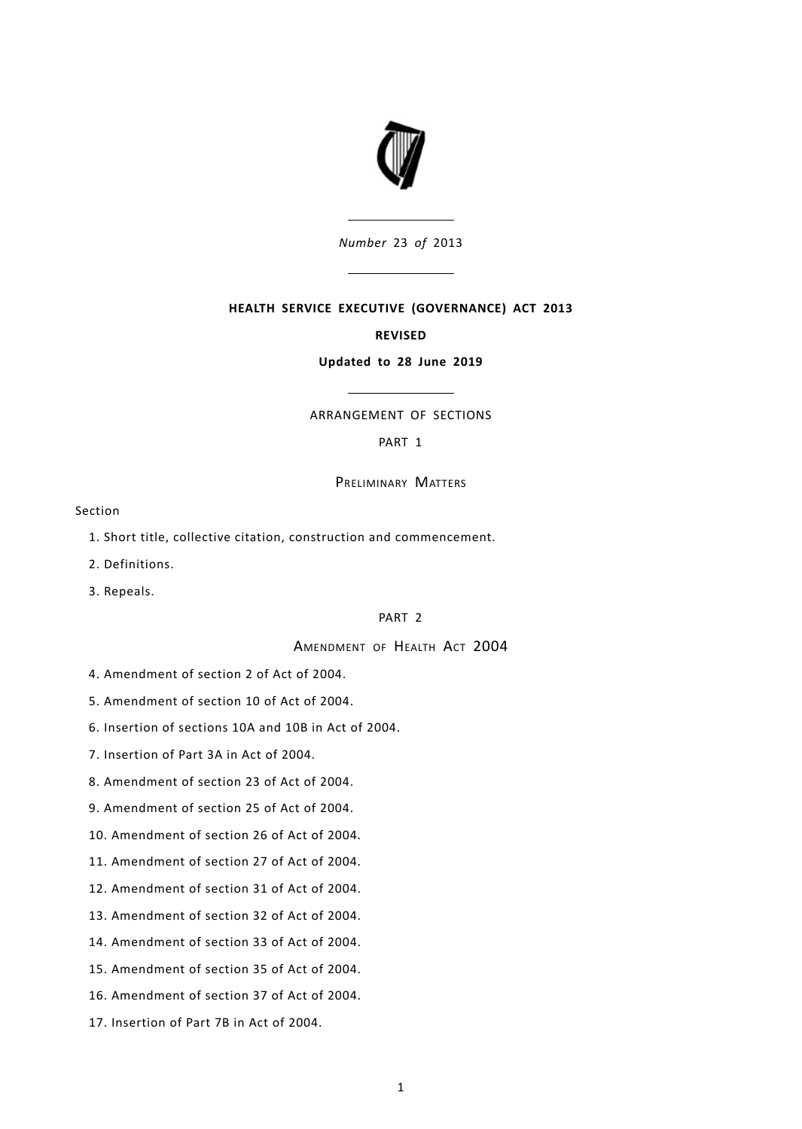

*Number* 23 *of* 2013

### **HEALTH SERVICE EXECUTIVE (GOVERNANCE) ACT 2013**

#### **REVISED**

#### **Updated to 28 June 2019**

# ARRANGEMENT OF SECTIONS

# [PART](#page-6-0) 1

PRELIMINARY MATTERS

#### Section

- 1. Short title, collective citation, construction and [commencement.](#page-6-1)
- 2. [Definitions.](#page-6-2)
- 3. [Repeals.](#page-6-3)

## [PART](#page-6-4) 2

# AMENDMENT OF HEALTH ACT 2004

- 4. [Amendment](#page-7-0) of section 2 of Act of 2004.
- 5. [Amendment](#page-7-1) of section 10 of Act of 2004.
- 6. [Insertion](#page-7-2) of sections 10A and 10B in Act of 2004.
- 7. [Insertion](#page-8-0) of Part 3A in Act of 2004.
- 8. [Amendment](#page-16-0) of section 23 of Act of 2004.
- 9. [Amendment](#page-16-1) of section 25 of Act of 2004.
- 10. [Amendment](#page-16-2) of section 26 of Act of 2004.
- 11. [Amendment](#page-17-0) of section 27 of Act of 2004.
- 12. [Amendment](#page-17-1) of section 31 of Act of 2004.
- 13. [Amendment](#page-19-0) of section 32 of Act of 2004.
- 14. [Amendment](#page-20-0) of section 33 of Act of 2004.
- 15. [Amendment](#page-20-1) of section 35 of Act of 2004.
- 16. [Amendment](#page-20-2) of section 37 of Act of 2004.
- 17. [Insertion](#page-20-3) of Part 7B in Act of 2004.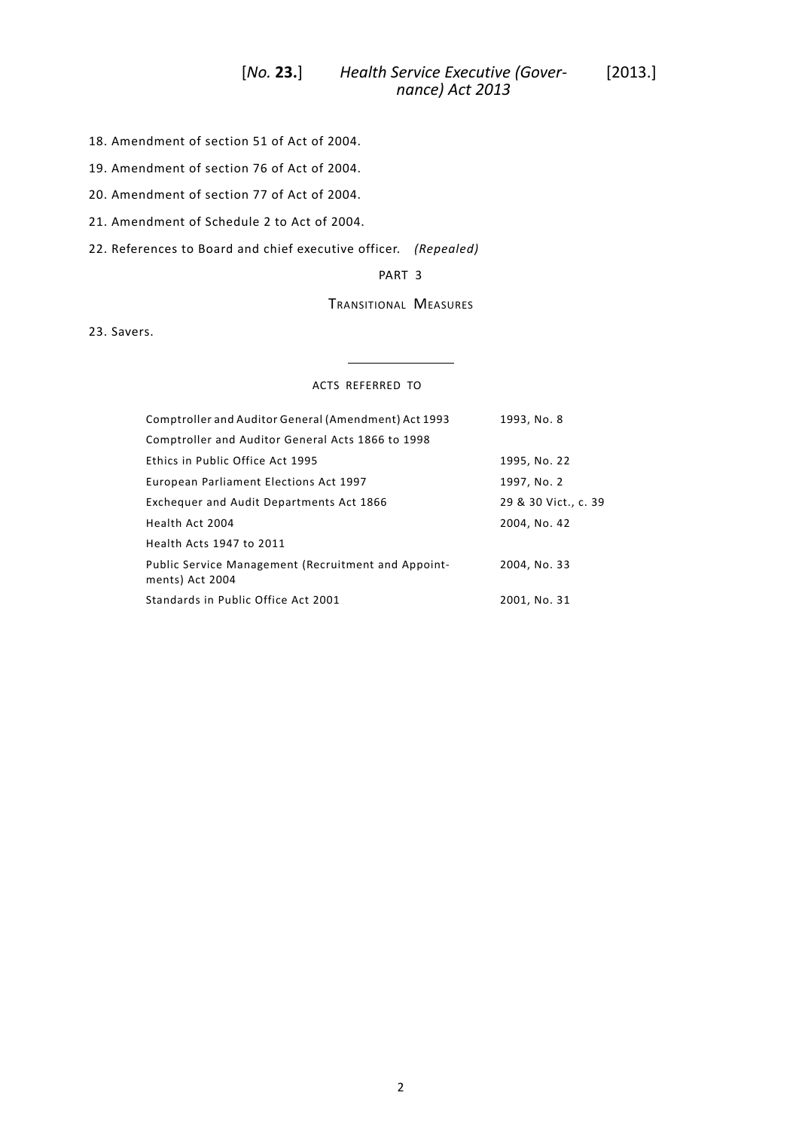# *Health Service Executive (Gover-* [2013.] [*No.* **23.**] *nance) Act 2013*

- 18. [Amendment](#page-22-0) of section 51 of Act of 2004.
- 19. [Amendment](#page-22-1) of section 76 of Act of 2004.
- 20. [Amendment](#page-23-0) of section 77 of Act of 2004.
- 21. [Amendment](#page-23-1) of Schedule 2 to Act of 2004.

22. [References](#page-24-0) to Board and chief executive officer. *(Repealed)*

### [PART](#page-24-1) 3

# TRANSITIONAL MEASURES

23. [Savers.](#page-24-2)

#### ACTS REFERRED TO

| Comptroller and Auditor General (Amendment) Act 1993                   | 1993, No. 8          |
|------------------------------------------------------------------------|----------------------|
| Comptroller and Auditor General Acts 1866 to 1998                      |                      |
| Ethics in Public Office Act 1995                                       | 1995, No. 22         |
| European Parliament Elections Act 1997                                 | 1997, No. 2          |
| Exchequer and Audit Departments Act 1866                               | 29 & 30 Vict., c. 39 |
| Health Act 2004                                                        | 2004, No. 42         |
| Health Acts 1947 to 2011                                               |                      |
| Public Service Management (Recruitment and Appoint-<br>ments) Act 2004 | 2004, No. 33         |
| Standards in Public Office Act 2001                                    | 2001, No. 31         |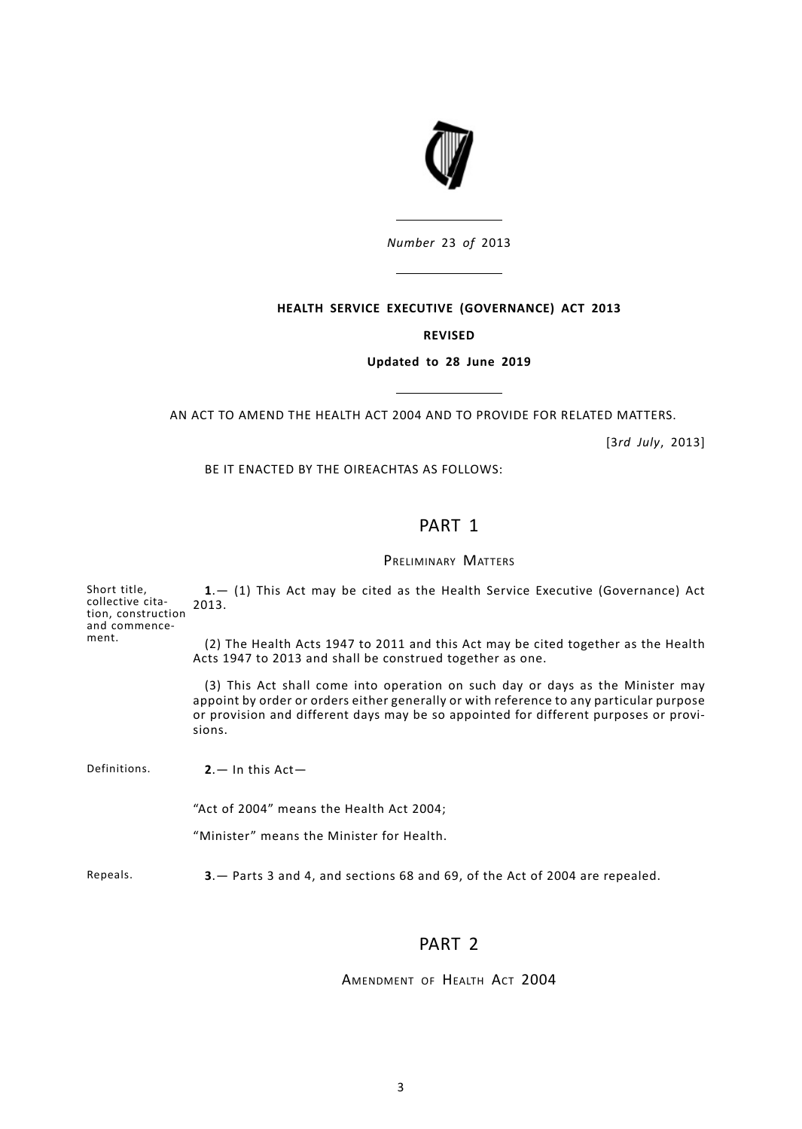

*Number* 23 *of* 2013

<u> 1990 - John Barn Barn, mars and de la partie de la partie de la partie de la partie de la partie de la partie</u>

# **HEALTH SERVICE EXECUTIVE (GOVERNANCE) ACT 2013**

# **REVISED**

### **Updated to 28 June 2019**

AN ACT TO AMEND THE HEALTH ACT 2004 AND TO PROVIDE FOR RELATED MATTERS.

 $\overline{\phantom{a}}$ 

[3*rd July*, 2013]

<span id="page-6-1"></span><span id="page-6-0"></span>BE IT ENACTED BY THE OIREACHTAS AS FOLLOWS:

# PART 1

# PRELIMINARY MATTERS

<span id="page-6-3"></span><span id="page-6-2"></span>

| Short title,<br>collective cita-<br>tion, construction<br>and commence-<br>ment. | $1 - (1)$ This Act may be cited as the Health Service Executive (Governance) Act<br>2013.                                                                                                                                                                                   |  |
|----------------------------------------------------------------------------------|-----------------------------------------------------------------------------------------------------------------------------------------------------------------------------------------------------------------------------------------------------------------------------|--|
|                                                                                  | (2) The Health Acts 1947 to 2011 and this Act may be cited together as the Health<br>Acts 1947 to 2013 and shall be construed together as one.                                                                                                                              |  |
|                                                                                  | (3) This Act shall come into operation on such day or days as the Minister may<br>appoint by order or orders either generally or with reference to any particular purpose<br>or provision and different days may be so appointed for different purposes or provi-<br>sions. |  |
| Definitions.                                                                     | $2 - \ln \text{this Act}$                                                                                                                                                                                                                                                   |  |
|                                                                                  | "Act of 2004" means the Health Act 2004;                                                                                                                                                                                                                                    |  |
|                                                                                  | "Minister" means the Minister for Health.                                                                                                                                                                                                                                   |  |
| Repeals.                                                                         | <b>3</b> . - Parts 3 and 4, and sections 68 and 69, of the Act of 2004 are repealed.                                                                                                                                                                                        |  |

# PART 2

# <span id="page-6-4"></span>AMENDMENT OF HEALTH ACT 2004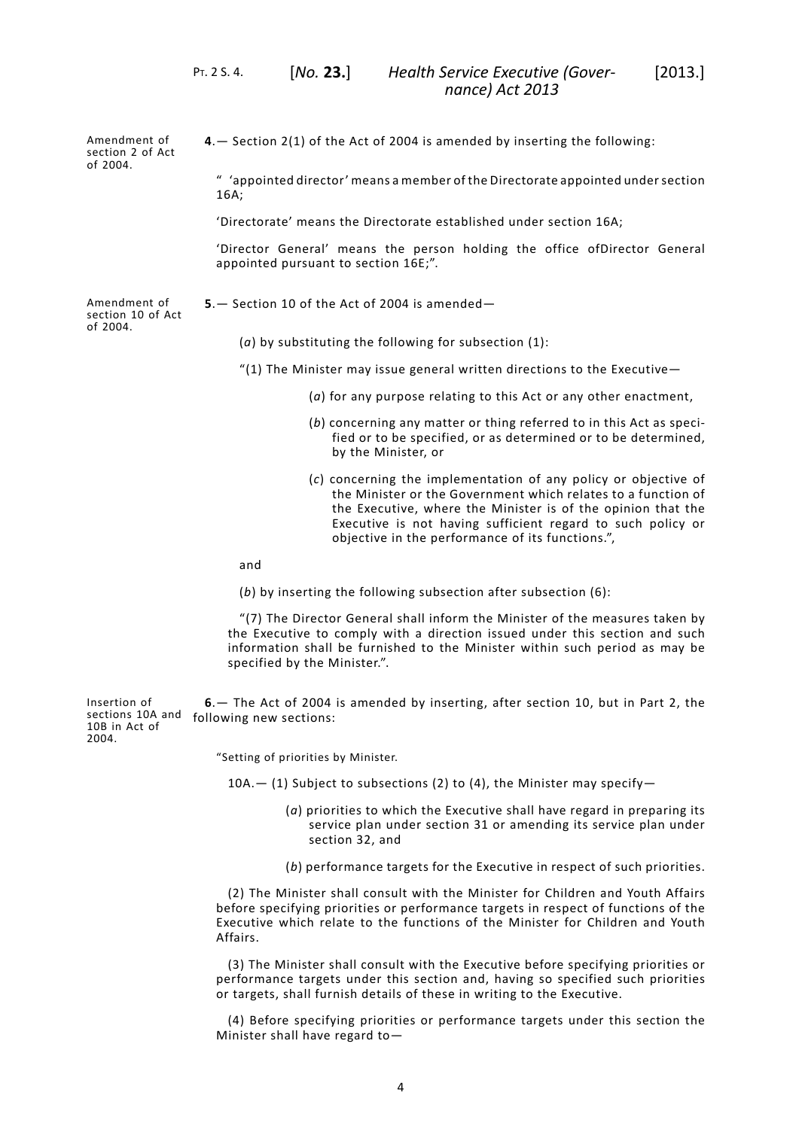Amendment of section 2 of Act of 2004. **4**.— Section 2(1) of the Act of 2004 is amended by inserting the following:

> <span id="page-7-0"></span>" 'appointed director' means a member of the Directorate appointed undersection 16A;

'Directorate' means the Directorate established under section 16A;

'Director General' means the person holding the office ofDirector General appointed pursuant to section 16E;".

Amendment of section 10 of Act of 2004.

<span id="page-7-1"></span>**5**.— Section 10 of the Act of 2004 is amended—

(*a*) by substituting the following for subsection (1):

- "(1) The Minister may issue general written directions to the Executive $-$ 
	- (*a*) for any purpose relating to this Act or any other enactment,
	- (*b*) concerning any matter or thing referred to in this Act as specified or to be specified, or as determined or to be determined, by the Minister, or
	- (*c*) concerning the implementation of any policy or objective of the Minister or the Government which relates to a function of the Executive, where the Minister is of the opinion that the Executive is not having sufficient regard to such policy or objective in the performance of its functions.",

and

(*b*) by inserting the following subsection after subsection (6):

<span id="page-7-2"></span>"(7) The Director General shall inform the Minister of the measures taken by the Executive to comply with a direction issued under this section and such information shall be furnished to the Minister within such period as may be specified by the Minister.".

Insertion of sections 10A and 10B in Act of 2004. **6**.— The Act of 2004 is amended by inserting, after section 10, but in Part 2, the following new sections:

"Setting of priorities by Minister.

- $10A (1)$  Subject to subsections (2) to (4), the Minister may specify-
	- (*a*) priorities to which the Executive shall have regard in preparing its service plan under section 31 or amending its service plan under section 32, and
	- (*b*) performance targets for the Executive in respect of such priorities.

(2) The Minister shall consult with the Minister for Children and Youth Affairs before specifying priorities or performance targets in respect of functions of the Executive which relate to the functions of the Minister for Children and Youth Affairs.

(3) The Minister shall consult with the Executive before specifying priorities or performance targets under this section and, having so specified such priorities or targets, shall furnish details of these in writing to the Executive.

(4) Before specifying priorities or performance targets under this section the Minister shall have regard to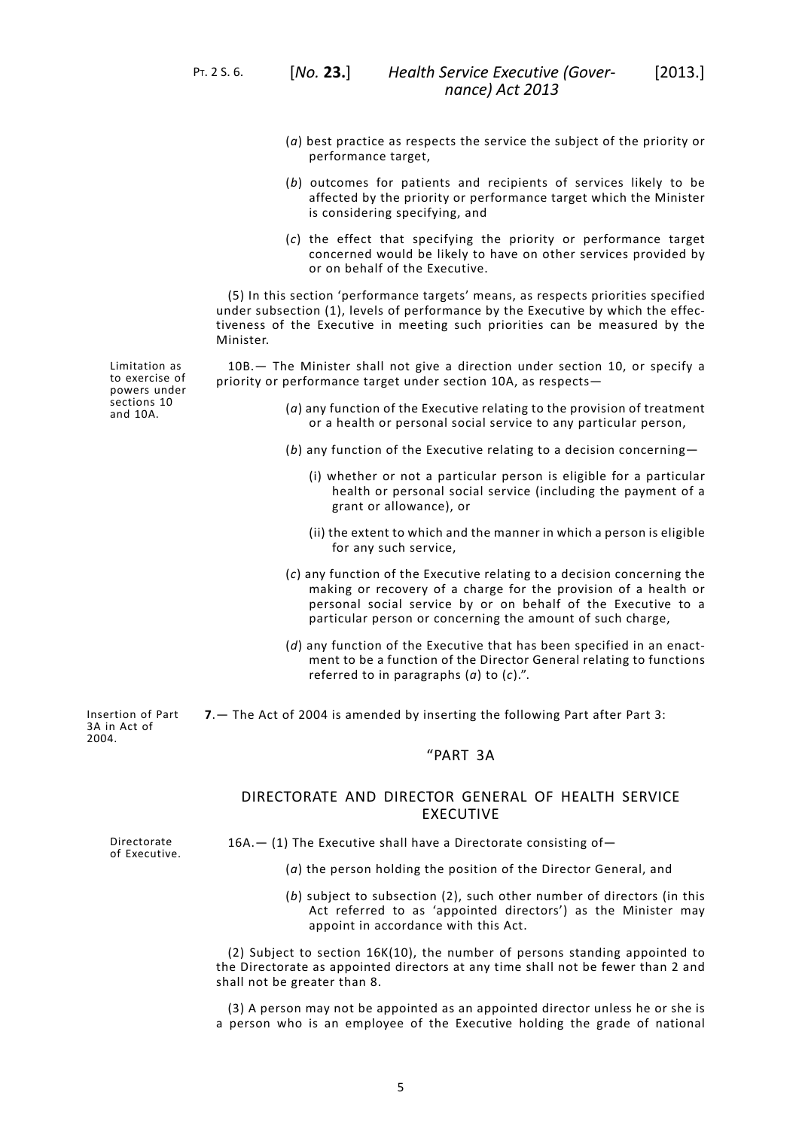PT. 2 S. 6. [*No.* **23.**]

- (*a*) best practice as respects the service the subject of the priority or performance target,
- (*b*) outcomes for patients and recipients of services likely to be affected by the priority or performance target which the Minister is considering specifying, and
- (*c*) the effect that specifying the priority or performance target concerned would be likely to have on other services provided by or on behalf of the Executive.

(5) In this section 'performance targets' means, as respects priorities specified under subsection (1), levels of performance by the Executive by which the effectiveness of the Executive in meeting such priorities can be measured by the Minister.

10B.— The Minister shall not give a direction under section 10, or specify a priority or performance target under section 10A, as respects—

- (*a*) any function of the Executive relating to the provision of treatment or a health or personal social service to any particular person,
- (*b*) any function of the Executive relating to a decision concerning—
	- (i) whether or not a particular person is eligible for a particular health or personal social service (including the payment of a grant or allowance), or
	- (ii) the extent to which and the manner in which a person is eligible for any such service,
- (*c*) any function of the Executive relating to a decision concerning the making or recovery of a charge for the provision of a health or personal social service by or on behalf of the Executive to a particular person or concerning the amount of such charge,
- (*d*) any function of the Executive that has been specified in an enactment to be a function of the Director General relating to functions referred to in paragraphs (*a*) to (*c*).".

<span id="page-8-0"></span>**7**.— The Act of 2004 is amended by inserting the following Part after Part 3:

# "PART 3A

# DIRECTORATE AND DIRECTOR GENERAL OF HEALTH SERVICE EXECUTIVE

Directorate of Executive.

Insertion of Part 3A in Act of 2004.

 $16A$ .  $-$  (1) The Executive shall have a Directorate consisting of  $-$ 

- (*a*) the person holding the position of the Director General, and
- (*b*) subject to subsection (2), such other number of directors (in this Act referred to as 'appointed directors') as the Minister may appoint in accordance with this Act.

(2) Subject to section 16K(10), the number of persons standing appointed to the Directorate as appointed directors at any time shall not be fewer than 2 and shall not be greater than 8.

(3) A person may not be appointed as an appointed director unless he or she is a person who is an employee of the Executive holding the grade of national

Limitation as to exercise of powers under sections 10 and 10A.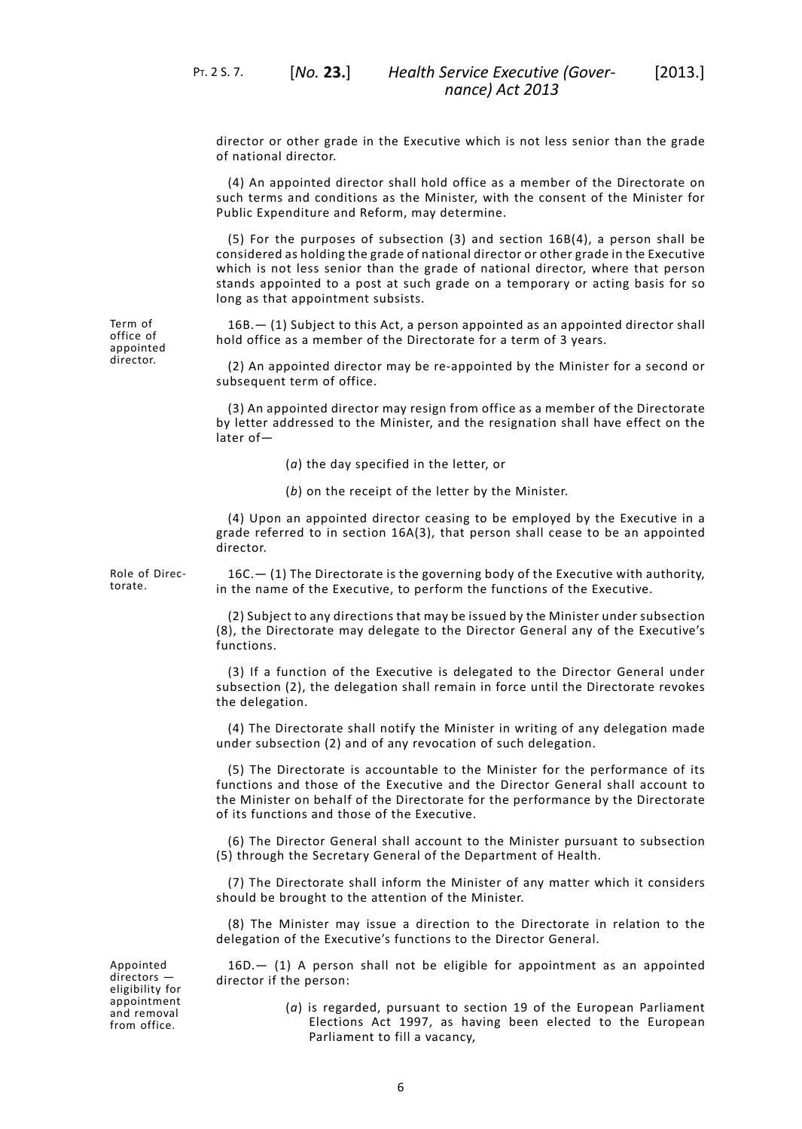director or other grade in the Executive which is not less senior than the grade of national director.

(4) An appointed director shall hold office as a member of the Directorate on such terms and conditions as the Minister, with the consent of the Minister for Public Expenditure and Reform, may determine.

(5) For the purposes of subsection (3) and section 16B(4), a person shall be considered as holding the grade of national director or other grade in the Executive which is not less senior than the grade of national director, where that person stands appointed to a post at such grade on a temporary or acting basis for so long as that appointment subsists.

16B.— (1) Subject to this Act, a person appointed as an appointed director shall hold office as a member of the Directorate for a term of 3 years.

(2) An appointed director may be re-appointed by the Minister for a second or subsequent term of office.

(3) An appointed director may resign from office as a member of the Directorate by letter addressed to the Minister, and the resignation shall have effect on the later of—

- (*a*) the day specified in the letter, or
- (*b*) on the receipt of the letter by the Minister.

(4) Upon an appointed director ceasing to be employed by the Executive in a grade referred to in section 16A(3), that person shall cease to be an appointed director.

Role of Directorate.

Term of office of appointed director.

> 16C.— (1) The Directorate is the governing body of the Executive with authority, in the name of the Executive, to perform the functions of the Executive.

> (2) Subject to any directions that may be issued by the Minister under subsection (8), the Directorate may delegate to the Director General any of the Executive's functions.

> (3) If a function of the Executive is delegated to the Director General under subsection (2), the delegation shall remain in force until the Directorate revokes the delegation.

> (4) The Directorate shall notify the Minister in writing of any delegation made under subsection (2) and of any revocation of such delegation.

> (5) The Directorate is accountable to the Minister for the performance of its functions and those of the Executive and the Director General shall account to the Minister on behalf of the Directorate for the performance by the Directorate of its functions and those of the Executive.

> (6) The Director General shall account to the Minister pursuant to subsection (5) through the Secretary General of the Department of Health.

> (7) The Directorate shall inform the Minister of any matter which it considers should be brought to the attention of the Minister.

> (8) The Minister may issue a direction to the Directorate in relation to the delegation of the Executive's functions to the Director General.

Appointed directors eligibility for appointment and removal from office.

16D.— (1) A person shall not be eligible for appointment as an appointed director if the person:

> (*a*) is regarded, pursuant to section 19 of the European Parliament Elections Act 1997, as having been elected to the European Parliament to fill a vacancy,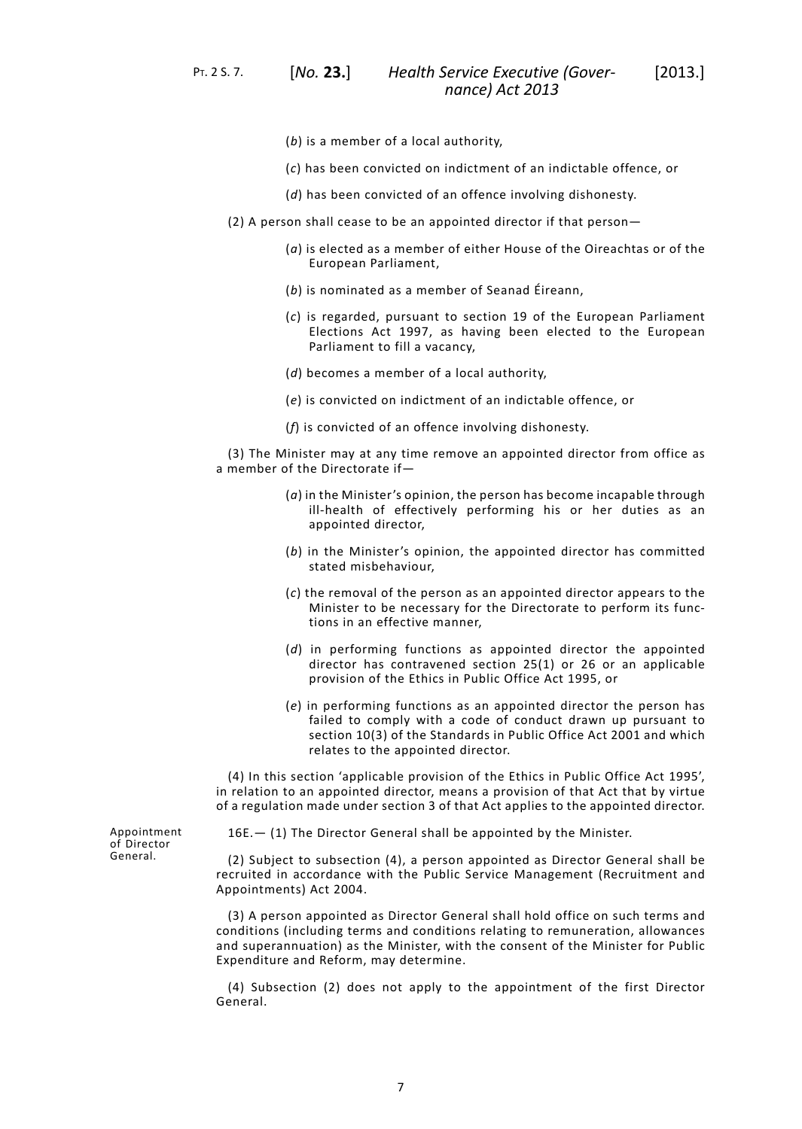PT. 2 S. 7. [*No.* **23.**]

*Health Service Executive (Gover-* [2013.] *nance) Act 2013*

- (*b*) is a member of a local authority,
- (*c*) has been convicted on indictment of an indictable offence, or
- (*d*) has been convicted of an offence involving dishonesty.
- (2) A person shall cease to be an appointed director if that person—
	- (*a*) is elected as a member of either House of the Oireachtas or of the European Parliament,
	- (*b*) is nominated as a member of Seanad Éireann,
	- (*c*) is regarded, pursuant to section 19 of the European Parliament Elections Act 1997, as having been elected to the European Parliament to fill a vacancy,
	- (*d*) becomes a member of a local authority,
	- (*e*) is convicted on indictment of an indictable offence, or
	- (*f*) is convicted of an offence involving dishonesty.

(3) The Minister may at any time remove an appointed director from office as a member of the Directorate if—

- (*a*) in the Minister's opinion, the person has become incapable through ill-health of effectively performing his or her duties as an appointed director,
- (*b*) in the Minister's opinion, the appointed director has committed stated misbehaviour,
- (*c*) the removal of the person as an appointed director appears to the Minister to be necessary for the Directorate to perform its functions in an effective manner,
- (*d*) in performing functions as appointed director the appointed director has contravened section 25(1) or 26 or an applicable provision of the Ethics in Public Office Act 1995, or
- (*e*) in performing functions as an appointed director the person has failed to comply with a code of conduct drawn up pursuant to section 10(3) of the Standards in Public Office Act 2001 and which relates to the appointed director.

(4) In this section 'applicable provision of the Ethics in Public Office Act 1995', in relation to an appointed director, means a provision of that Act that by virtue of a regulation made under section 3 of that Act applies to the appointed director.

Appointment of Director General.

16E.— (1) The Director General shall be appointed by the Minister.

(2) Subject to subsection (4), a person appointed as Director General shall be recruited in accordance with the Public Service Management (Recruitment and Appointments) Act 2004.

(3) A person appointed as Director General shall hold office on such terms and conditions (including terms and conditions relating to remuneration, allowances and superannuation) as the Minister, with the consent of the Minister for Public Expenditure and Reform, may determine.

(4) Subsection (2) does not apply to the appointment of the first Director General.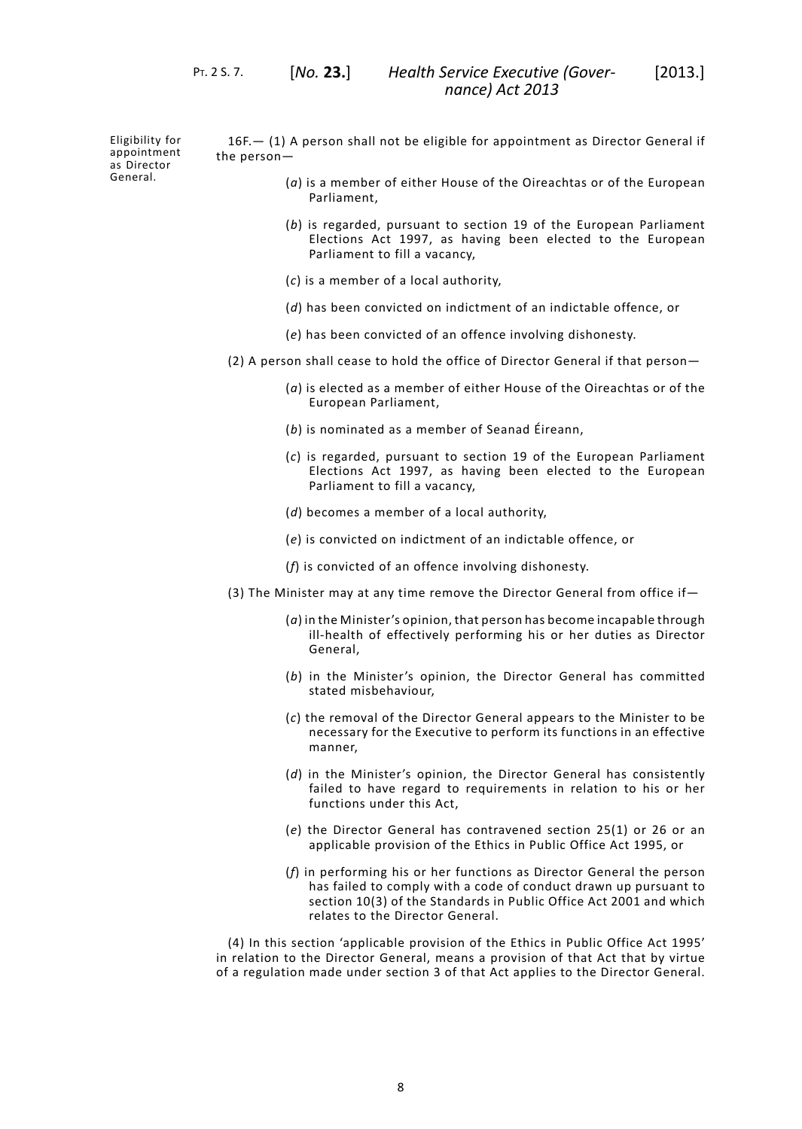Eligibility for appointment as Director General.

16F.— (1) A person shall not be eligible for appointment as Director General if the person—

- (*a*) is a member of either House of the Oireachtas or of the European Parliament,
- (*b*) is regarded, pursuant to section 19 of the European Parliament Elections Act 1997, as having been elected to the European Parliament to fill a vacancy,
- (*c*) is a member of a local authority,
- (*d*) has been convicted on indictment of an indictable offence, or
- (*e*) has been convicted of an offence involving dishonesty.
- (2) A person shall cease to hold the office of Director General if that person—
	- (*a*) is elected as a member of either House of the Oireachtas or of the European Parliament,
	- (*b*) is nominated as a member of Seanad Éireann,
	- (*c*) is regarded, pursuant to section 19 of the European Parliament Elections Act 1997, as having been elected to the European Parliament to fill a vacancy,
	- (*d*) becomes a member of a local authority,
	- (*e*) is convicted on indictment of an indictable offence, or
	- (*f*) is convicted of an offence involving dishonesty.
- (3) The Minister may at any time remove the Director General from office if—
	- (*a*) in the Minister's opinion, that person has become incapable through ill-health of effectively performing his or her duties as Director General,
	- (*b*) in the Minister's opinion, the Director General has committed stated misbehaviour,
	- (*c*) the removal of the Director General appears to the Minister to be necessary for the Executive to perform its functions in an effective manner,
	- (*d*) in the Minister's opinion, the Director General has consistently failed to have regard to requirements in relation to his or her functions under this Act,
	- (*e*) the Director General has contravened section 25(1) or 26 or an applicable provision of the Ethics in Public Office Act 1995, or
	- (*f*) in performing his or her functions as Director General the person has failed to comply with a code of conduct drawn up pursuant to section 10(3) of the Standards in Public Office Act 2001 and which relates to the Director General.

(4) In this section 'applicable provision of the Ethics in Public Office Act 1995' in relation to the Director General, means a provision of that Act that by virtue of a regulation made under section 3 of that Act applies to the Director General.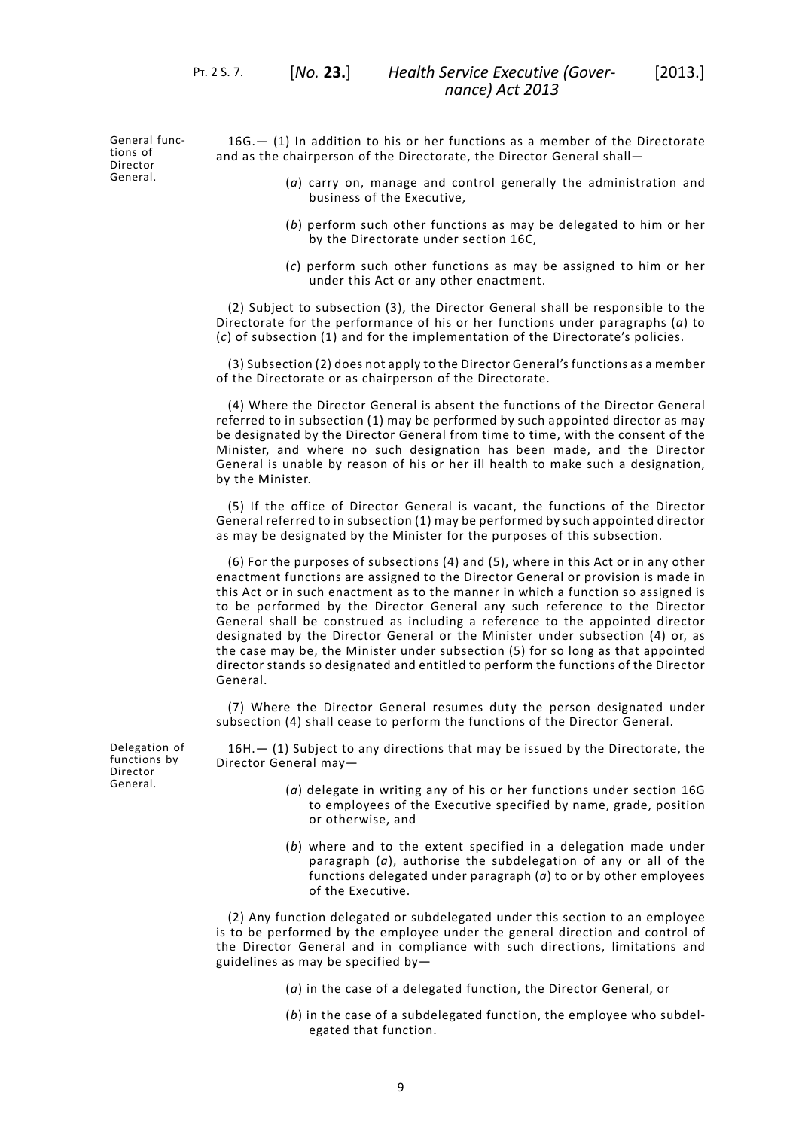General functions of Director General.

16G.— (1) In addition to his or her functions as a member of the Directorate and as the chairperson of the Directorate, the Director General shall—

- (*a*) carry on, manage and control generally the administration and business of the Executive,
- (*b*) perform such other functions as may be delegated to him or her by the Directorate under section 16C,
- (*c*) perform such other functions as may be assigned to him or her under this Act or any other enactment.

(2) Subject to subsection (3), the Director General shall be responsible to the Directorate for the performance of his or her functions under paragraphs (*a*) to (*c*) of subsection (1) and for the implementation of the Directorate's policies.

(3) Subsection (2) does not apply to the Director General's functions as a member of the Directorate or as chairperson of the Directorate.

(4) Where the Director General is absent the functions of the Director General referred to in subsection (1) may be performed by such appointed director as may be designated by the Director General from time to time, with the consent of the Minister, and where no such designation has been made, and the Director General is unable by reason of his or her ill health to make such a designation, by the Minister.

(5) If the office of Director General is vacant, the functions of the Director General referred to in subsection (1) may be performed by such appointed director as may be designated by the Minister for the purposes of this subsection.

(6) For the purposes of subsections (4) and (5), where in this Act or in any other enactment functions are assigned to the Director General or provision is made in this Act or in such enactment as to the manner in which a function so assigned is to be performed by the Director General any such reference to the Director General shall be construed as including a reference to the appointed director designated by the Director General or the Minister under subsection (4) or, as the case may be, the Minister under subsection (5) for so long as that appointed director stands so designated and entitled to perform the functions of the Director General.

(7) Where the Director General resumes duty the person designated under subsection (4) shall cease to perform the functions of the Director General.

Delegation of functions by Director General.

16H.— (1) Subject to any directions that may be issued by the Directorate, the Director General may—

- (*a*) delegate in writing any of his or her functions under section 16G to employees of the Executive specified by name, grade, position or otherwise, and
- (*b*) where and to the extent specified in a delegation made under paragraph (*a*), authorise the subdelegation of any or all of the functions delegated under paragraph (*a*) to or by other employees of the Executive.

(2) Any function delegated or subdelegated under this section to an employee is to be performed by the employee under the general direction and control of the Director General and in compliance with such directions, limitations and guidelines as may be specified by—

(*a*) in the case of a delegated function, the Director General, or

(*b*) in the case of a subdelegated function, the employee who subdelegated that function.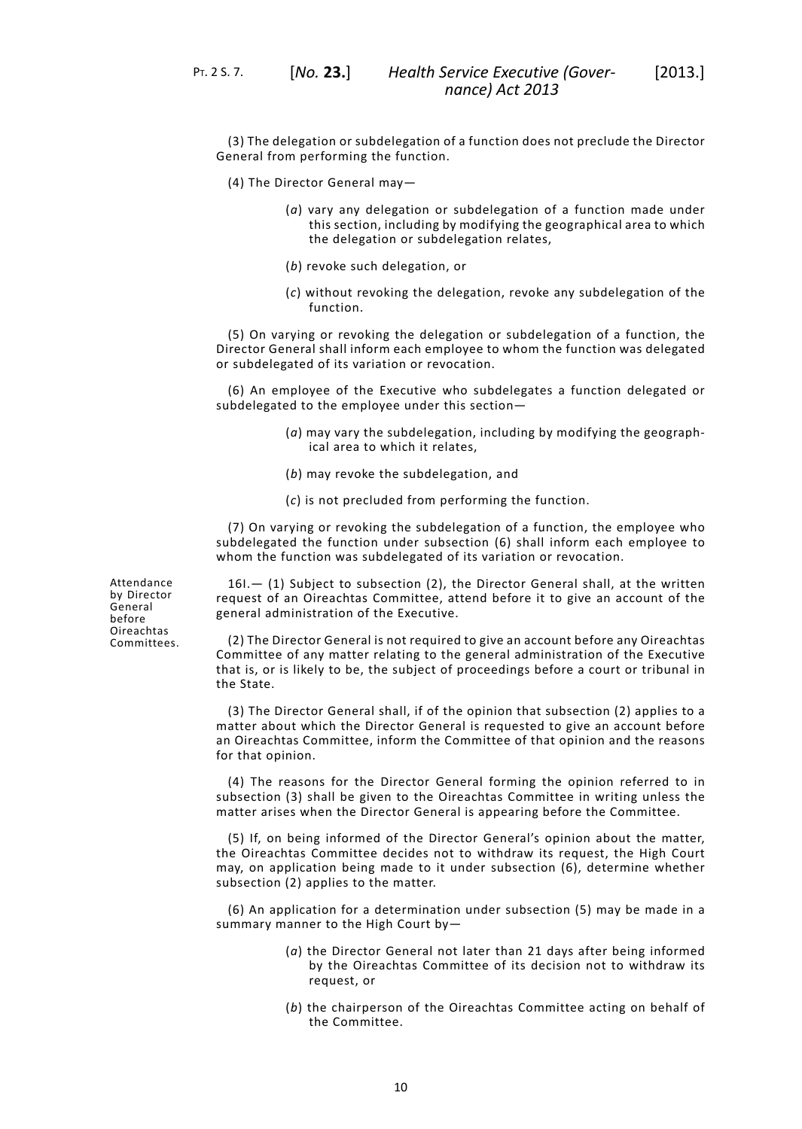(3) The delegation or subdelegation of a function does not preclude the Director General from performing the function.

- (4) The Director General may—
	- (*a*) vary any delegation or subdelegation of a function made under this section, including by modifying the geographical area to which the delegation or subdelegation relates,
	- (*b*) revoke such delegation, or
	- (*c*) without revoking the delegation, revoke any subdelegation of the function.

(5) On varying or revoking the delegation or subdelegation of a function, the Director General shall inform each employee to whom the function was delegated or subdelegated of its variation or revocation.

(6) An employee of the Executive who subdelegates a function delegated or subdelegated to the employee under this section—

- (*a*) may vary the subdelegation, including by modifying the geographical area to which it relates,
- (*b*) may revoke the subdelegation, and
- (*c*) is not precluded from performing the function.

(7) On varying or revoking the subdelegation of a function, the employee who subdelegated the function under subsection (6) shall inform each employee to whom the function was subdelegated of its variation or revocation.

Attendance by Director General before Oireachtas Committees.

16I.— (1) Subject to subsection (2), the Director General shall, at the written request of an Oireachtas Committee, attend before it to give an account of the general administration of the Executive.

(2) The Director General is not required to give an account before any Oireachtas Committee of any matter relating to the general administration of the Executive that is, or is likely to be, the subject of proceedings before a court or tribunal in the State.

(3) The Director General shall, if of the opinion that subsection (2) applies to a matter about which the Director General is requested to give an account before an Oireachtas Committee, inform the Committee of that opinion and the reasons for that opinion.

(4) The reasons for the Director General forming the opinion referred to in subsection (3) shall be given to the Oireachtas Committee in writing unless the matter arises when the Director General is appearing before the Committee.

(5) If, on being informed of the Director General's opinion about the matter, the Oireachtas Committee decides not to withdraw its request, the High Court may, on application being made to it under subsection (6), determine whether subsection (2) applies to the matter.

(6) An application for a determination under subsection (5) may be made in a summary manner to the High Court by—

- (*a*) the Director General not later than 21 days after being informed by the Oireachtas Committee of its decision not to withdraw its request, or
- (*b*) the chairperson of the Oireachtas Committee acting on behalf of the Committee.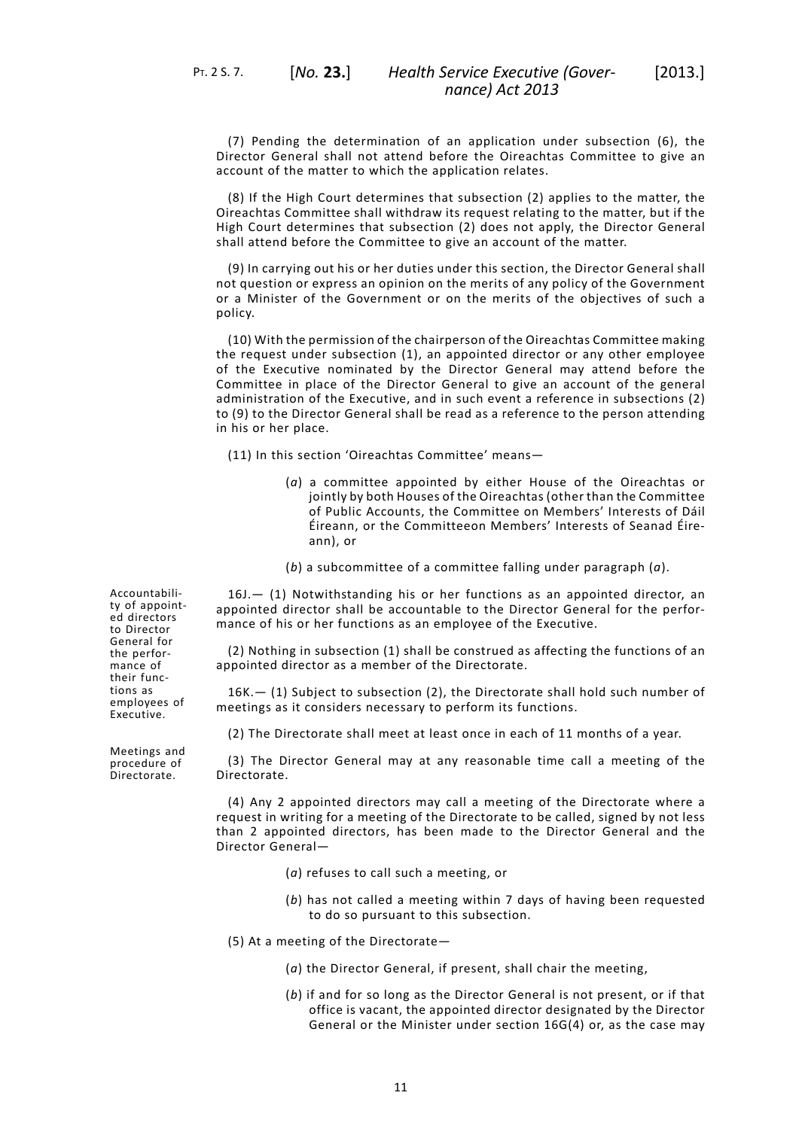(7) Pending the determination of an application under subsection (6), the Director General shall not attend before the Oireachtas Committee to give an account of the matter to which the application relates.

(8) If the High Court determines that subsection (2) applies to the matter, the Oireachtas Committee shall withdraw its request relating to the matter, but if the High Court determines that subsection (2) does not apply, the Director General shall attend before the Committee to give an account of the matter.

(9) In carrying out his or her duties under this section, the Director General shall not question or express an opinion on the merits of any policy of the Government or a Minister of the Government or on the merits of the objectives of such a policy.

(10) With the permission of the chairperson of the Oireachtas Committee making the request under subsection (1), an appointed director or any other employee of the Executive nominated by the Director General may attend before the Committee in place of the Director General to give an account of the general administration of the Executive, and in such event a reference in subsections (2) to (9) to the Director General shall be read as a reference to the person attending in his or her place.

(11) In this section 'Oireachtas Committee' means—

- (*a*) a committee appointed by either House of the Oireachtas or jointly by both Houses of the Oireachtas (other than the Committee of Public Accounts, the Committee on Members' Interests of Dáil Éireann, or the Committeeon Members' Interests of Seanad Éireann), or
- (*b*) a subcommittee of a committee falling under paragraph (*a*).

16J.— (1) Notwithstanding his or her functions as an appointed director, an appointed director shall be accountable to the Director General for the performance of his or her functions as an employee of the Executive.

(2) Nothing in subsection (1) shall be construed as affecting the functions of an appointed director as a member of the Directorate.

16K.— (1) Subject to subsection (2), the Directorate shall hold such number of meetings as it considers necessary to perform its functions.

(2) The Directorate shall meet at least once in each of 11 months of a year.

(3) The Director General may at any reasonable time call a meeting of the Directorate.

(4) Any 2 appointed directors may call a meeting of the Directorate where a request in writing for a meeting of the Directorate to be called, signed by not less than 2 appointed directors, has been made to the Director General and the Director General—

- (*a*) refuses to call such a meeting, or
- (*b*) has not called a meeting within 7 days of having been requested to do so pursuant to this subsection.
- (5) At a meeting of the Directorate—
	- (*a*) the Director General, if present, shall chair the meeting,
	- (*b*) if and for so long as the Director General is not present, or if that office is vacant, the appointed director designated by the Director General or the Minister under section 16G(4) or, as the case may

Accountability of appointed directors to Director General for the performance of their functions as employees of Executive.

Meetings and procedure of Directorate.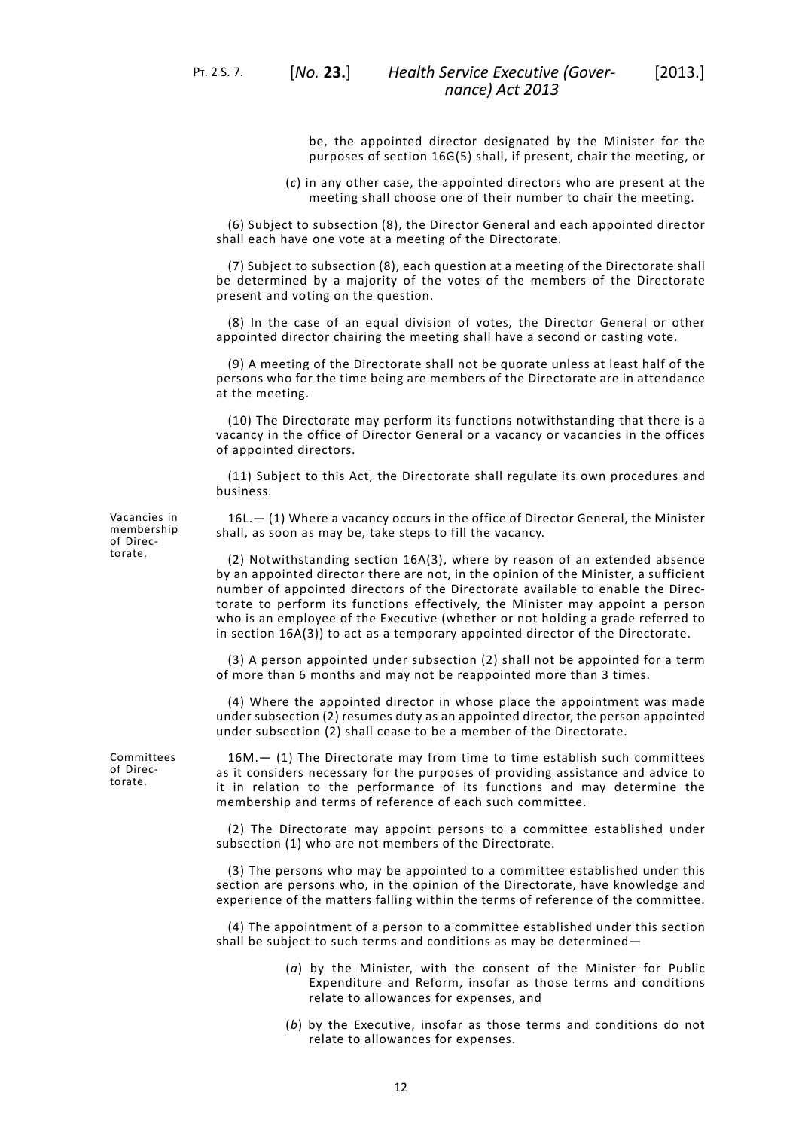PT. 2 S. 7. [*No.* **23.**]

be, the appointed director designated by the Minister for the purposes of section 16G(5) shall, if present, chair the meeting, or

(*c*) in any other case, the appointed directors who are present at the meeting shall choose one of their number to chair the meeting.

(6) Subject to subsection (8), the Director General and each appointed director shall each have one vote at a meeting of the Directorate.

(7) Subject to subsection (8), each question at a meeting of the Directorate shall be determined by a majority of the votes of the members of the Directorate present and voting on the question.

(8) In the case of an equal division of votes, the Director General or other appointed director chairing the meeting shall have a second or casting vote.

(9) A meeting of the Directorate shall not be quorate unless at least half of the persons who for the time being are members of the Directorate are in attendance at the meeting.

(10) The Directorate may perform its functions notwithstanding that there is a vacancy in the office of Director General or a vacancy or vacancies in the offices of appointed directors.

(11) Subject to this Act, the Directorate shall regulate its own procedures and business.

Vacancies in membership of Directorate.

16L.— (1) Where a vacancy occurs in the office of Director General, the Minister shall, as soon as may be, take steps to fill the vacancy.

(2) Notwithstanding section 16A(3), where by reason of an extended absence by an appointed director there are not, in the opinion of the Minister, a sufficient number of appointed directors of the Directorate available to enable the Directorate to perform its functions effectively, the Minister may appoint a person who is an employee of the Executive (whether or not holding a grade referred to in section 16A(3)) to act as a temporary appointed director of the Directorate.

(3) A person appointed under subsection (2) shall not be appointed for a term of more than 6 months and may not be reappointed more than 3 times.

(4) Where the appointed director in whose place the appointment was made under subsection (2) resumes duty as an appointed director, the person appointed under subsection (2) shall cease to be a member of the Directorate.

16M.— (1) The Directorate may from time to time establish such committees as it considers necessary for the purposes of providing assistance and advice to it in relation to the performance of its functions and may determine the membership and terms of reference of each such committee.

(2) The Directorate may appoint persons to a committee established under subsection (1) who are not members of the Directorate.

(3) The persons who may be appointed to a committee established under this section are persons who, in the opinion of the Directorate, have knowledge and experience of the matters falling within the terms of reference of the committee.

(4) The appointment of a person to a committee established under this section shall be subject to such terms and conditions as may be determined—

- (*a*) by the Minister, with the consent of the Minister for Public Expenditure and Reform, insofar as those terms and conditions relate to allowances for expenses, and
- (*b*) by the Executive, insofar as those terms and conditions do not relate to allowances for expenses.

Committees of Directorate.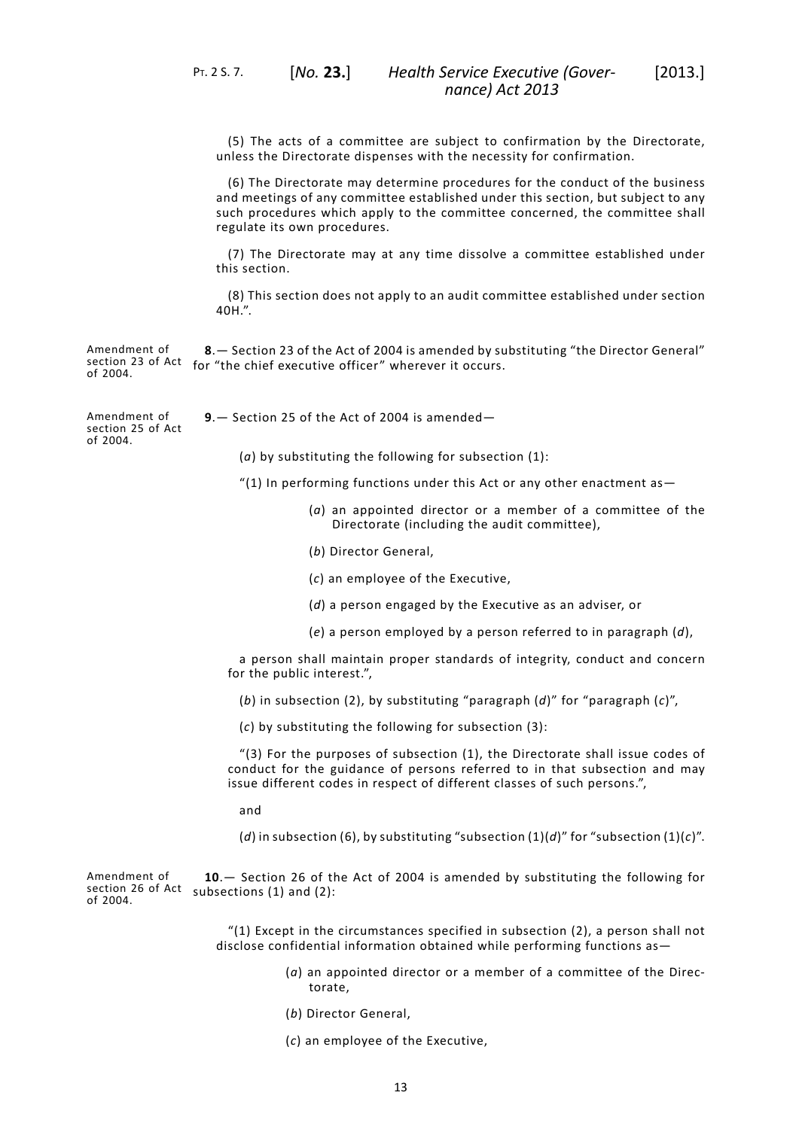(5) The acts of a committee are subject to confirmation by the Directorate, unless the Directorate dispenses with the necessity for confirmation.

(6) The Directorate may determine procedures for the conduct of the business and meetings of any committee established under this section, but subject to any such procedures which apply to the committee concerned, the committee shall regulate its own procedures.

(7) The Directorate may at any time dissolve a committee established under this section.

<span id="page-16-0"></span>(8) This section does not apply to an audit committee established under section 40H.".

Amendment of section 23 of Act for "the chief executive officer" wherever it occurs. of 2004. **8**.— Section 23 of the Act of 2004 is amended by substituting "the Director General"

<span id="page-16-1"></span>**9**.— Section 25 of the Act of 2004 is amended—

Amendment of section 25 of Act of 2004.

(*a*) by substituting the following for subsection (1):

"(1) In performing functions under this Act or any other enactment as—

- (*a*) an appointed director or a member of a committee of the Directorate (including the audit committee),
- (*b*) Director General,
- (*c*) an employee of the Executive,
- (*d*) a person engaged by the Executive as an adviser, or
- (*e*) a person employed by a person referred to in paragraph (*d*),

a person shall maintain proper standards of integrity, conduct and concern for the public interest.",

(*b*) in subsection (2), by substituting "paragraph (*d*)" for "paragraph (*c*)",

(*c*) by substituting the following for subsection (3):

<span id="page-16-2"></span>"(3) For the purposes of subsection (1), the Directorate shall issue codes of conduct for the guidance of persons referred to in that subsection and may issue different codes in respect of different classes of such persons.",

and

(*d*) in subsection (6), by substituting "subsection (1)(*d*)" for "subsection (1)(*c*)".

Amendment of section 26 of Act subsections (1) and (2): of 2004. **10**.— Section 26 of the Act of 2004 is amended by substituting the following for

> "(1) Except in the circumstances specified in subsection  $(2)$ , a person shall not disclose confidential information obtained while performing functions as—

- (*a*) an appointed director or a member of a committee of the Directorate,
- (*b*) Director General,
- (*c*) an employee of the Executive,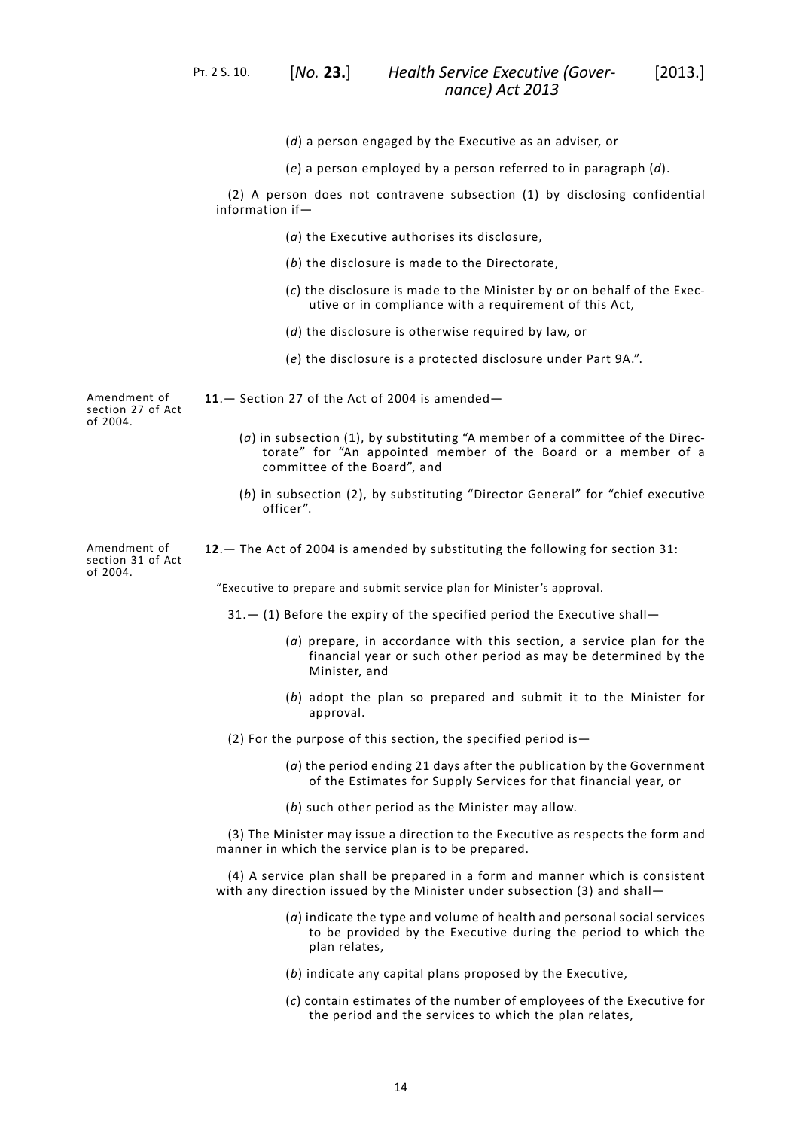PT. 2 S. 10. [*No.* **23.**]

*Health Service Executive (Gover-* [2013.] *nance) Act 2013*

- (*d*) a person engaged by the Executive as an adviser, or
- (*e*) a person employed by a person referred to in paragraph (*d*).

(2) A person does not contravene subsection (1) by disclosing confidential information if—

- (*a*) the Executive authorises its disclosure,
- (*b*) the disclosure is made to the Directorate,
- (*c*) the disclosure is made to the Minister by or on behalf of the Executive or in compliance with a requirement of this Act,
- (*d*) the disclosure is otherwise required by law, or
- (*e*) the disclosure is a protected disclosure under Part 9A.".

Amendment of section 27 of Act of 2004.

Amendment of

of 2004.

- <span id="page-17-1"></span><span id="page-17-0"></span>**11**.— Section 27 of the Act of 2004 is amended—
	- (*a*) in subsection (1), by substituting "A member of a committee of the Directorate" for "An appointed member of the Board or a member of a committee of the Board", and
	- (*b*) in subsection (2), by substituting "Director General" for "chief executive officer".

section 31 of Act **12**.— The Act of 2004 is amended by substituting the following for section 31:

"Executive to prepare and submit service plan for Minister's approval.

- $31.$   $-$  (1) Before the expiry of the specified period the Executive shall–
	- (*a*) prepare, in accordance with this section, a service plan for the financial year or such other period as may be determined by the Minister, and
	- (*b*) adopt the plan so prepared and submit it to the Minister for approval.
- (2) For the purpose of this section, the specified period is—
	- (*a*) the period ending 21 days after the publication by the Government of the Estimates for Supply Services for that financial year, or
	- (*b*) such other period as the Minister may allow.

(3) The Minister may issue a direction to the Executive as respects the form and manner in which the service plan is to be prepared.

(4) A service plan shall be prepared in a form and manner which is consistent with any direction issued by the Minister under subsection (3) and shall—

- (*a*) indicate the type and volume of health and personal social services to be provided by the Executive during the period to which the plan relates,
- (*b*) indicate any capital plans proposed by the Executive,
- (*c*) contain estimates of the number of employees of the Executive for the period and the services to which the plan relates,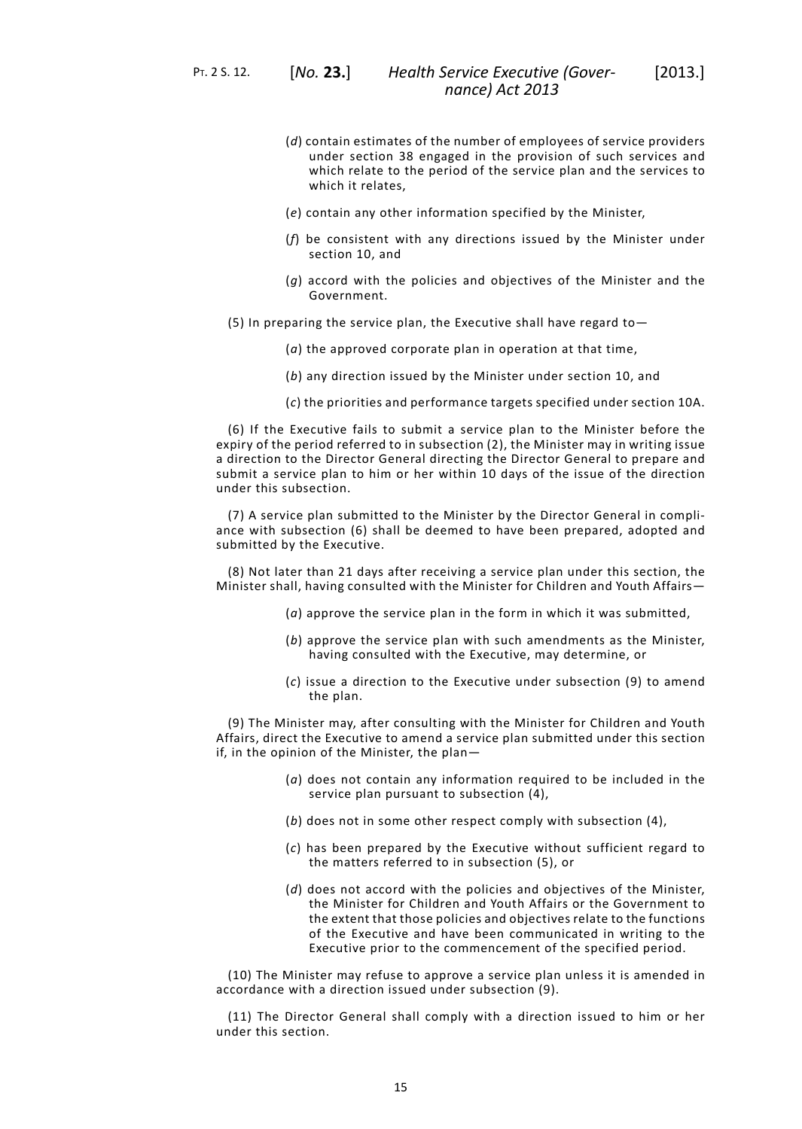PT. 2 S. 12. [*No.* **23.**]

- (*d*) contain estimates of the number of employees of service providers under section 38 engaged in the provision of such services and which relate to the period of the service plan and the services to which it relates
- (*e*) contain any other information specified by the Minister,
- (*f*) be consistent with any directions issued by the Minister under section 10, and
- (*g*) accord with the policies and objectives of the Minister and the Government.
- (5) In preparing the service plan, the Executive shall have regard to  $-$ 
	- (*a*) the approved corporate plan in operation at that time,
	- (*b*) any direction issued by the Minister under section 10, and
	- (*c*) the priorities and performance targets specified under section 10A.

(6) If the Executive fails to submit a service plan to the Minister before the expiry of the period referred to in subsection (2), the Minister may in writing issue a direction to the Director General directing the Director General to prepare and submit a service plan to him or her within 10 days of the issue of the direction under this subsection.

(7) A service plan submitted to the Minister by the Director General in compliance with subsection (6) shall be deemed to have been prepared, adopted and submitted by the Executive.

(8) Not later than 21 days after receiving a service plan under this section, the Minister shall, having consulted with the Minister for Children and Youth Affairs—

- (*a*) approve the service plan in the form in which it was submitted,
- (*b*) approve the service plan with such amendments as the Minister, having consulted with the Executive, may determine, or
- (*c*) issue a direction to the Executive under subsection (9) to amend the plan.

(9) The Minister may, after consulting with the Minister for Children and Youth Affairs, direct the Executive to amend a service plan submitted under this section if, in the opinion of the Minister, the plan—

- (*a*) does not contain any information required to be included in the service plan pursuant to subsection (4),
- (*b*) does not in some other respect comply with subsection (4),
- (*c*) has been prepared by the Executive without sufficient regard to the matters referred to in subsection (5), or
- (*d*) does not accord with the policies and objectives of the Minister, the Minister for Children and Youth Affairs or the Government to the extent that those policies and objectives relate to the functions of the Executive and have been communicated in writing to the Executive prior to the commencement of the specified period.

(10) The Minister may refuse to approve a service plan unless it is amended in accordance with a direction issued under subsection (9).

(11) The Director General shall comply with a direction issued to him or her under this section.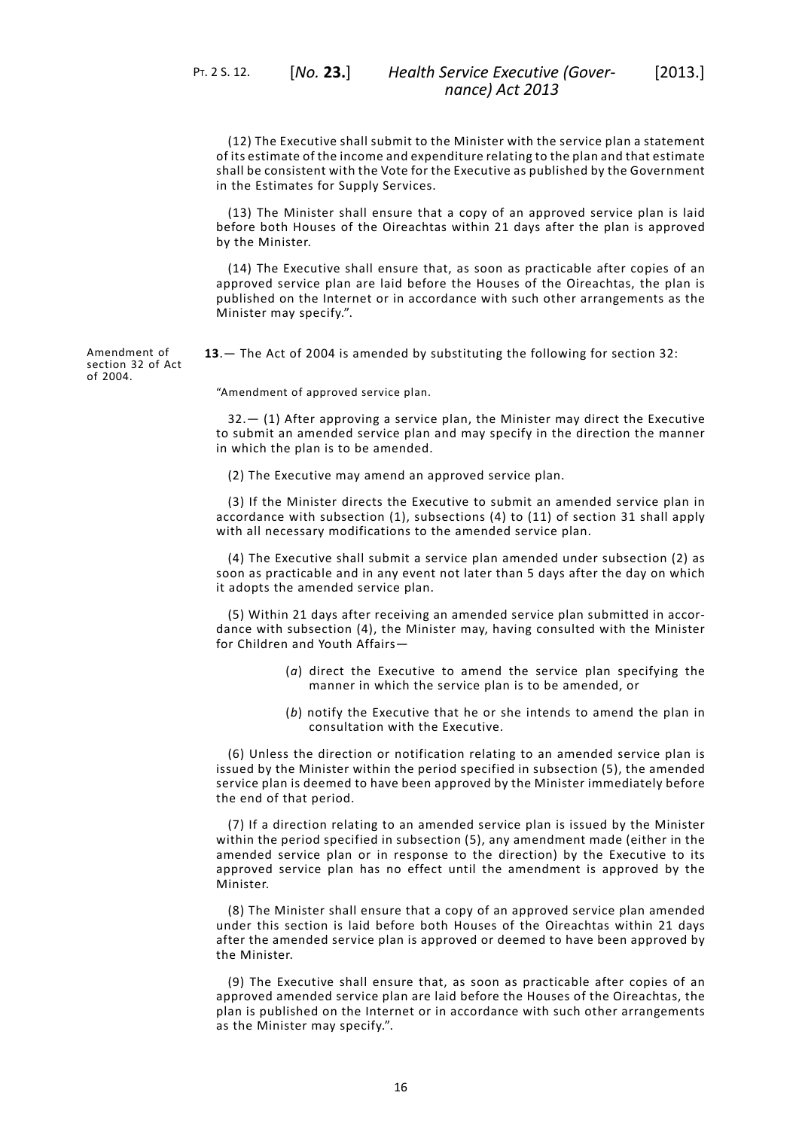PT. 2 S. 12. [*No.* **23.**]

(12) The Executive shall submit to the Minister with the service plan a statement of its estimate of the income and expenditure relating to the plan and that estimate shall be consistent with the Vote for the Executive as published by the Government in the Estimates for Supply Services.

(13) The Minister shall ensure that a copy of an approved service plan is laid before both Houses of the Oireachtas within 21 days after the plan is approved by the Minister.

(14) The Executive shall ensure that, as soon as practicable after copies of an approved service plan are laid before the Houses of the Oireachtas, the plan is published on the Internet or in accordance with such other arrangements as the Minister may specify.".

<span id="page-19-0"></span>**13**.— The Act of 2004 is amended by substituting the following for section 32:

"Amendment of approved service plan.

32.— (1) After approving a service plan, the Minister may direct the Executive to submit an amended service plan and may specify in the direction the manner in which the plan is to be amended.

(2) The Executive may amend an approved service plan.

(3) If the Minister directs the Executive to submit an amended service plan in accordance with subsection (1), subsections (4) to (11) of section 31 shall apply with all necessary modifications to the amended service plan.

(4) The Executive shall submit a service plan amended under subsection (2) as soon as practicable and in any event not later than 5 days after the day on which it adopts the amended service plan.

(5) Within 21 days after receiving an amended service plan submitted in accordance with subsection (4), the Minister may, having consulted with the Minister for Children and Youth Affairs—

- (*a*) direct the Executive to amend the service plan specifying the manner in which the service plan is to be amended, or
- (*b*) notify the Executive that he or she intends to amend the plan in consultation with the Executive.

(6) Unless the direction or notification relating to an amended service plan is issued by the Minister within the period specified in subsection (5), the amended service plan is deemed to have been approved by the Minister immediately before the end of that period.

(7) If a direction relating to an amended service plan is issued by the Minister within the period specified in subsection (5), any amendment made (either in the amended service plan or in response to the direction) by the Executive to its approved service plan has no effect until the amendment is approved by the Minister.

(8) The Minister shall ensure that a copy of an approved service plan amended under this section is laid before both Houses of the Oireachtas within 21 days after the amended service plan is approved or deemed to have been approved by the Minister.

(9) The Executive shall ensure that, as soon as practicable after copies of an approved amended service plan are laid before the Houses of the Oireachtas, the plan is published on the Internet or in accordance with such other arrangements as the Minister may specify.".

Amendment of section 32 of Act of 2004.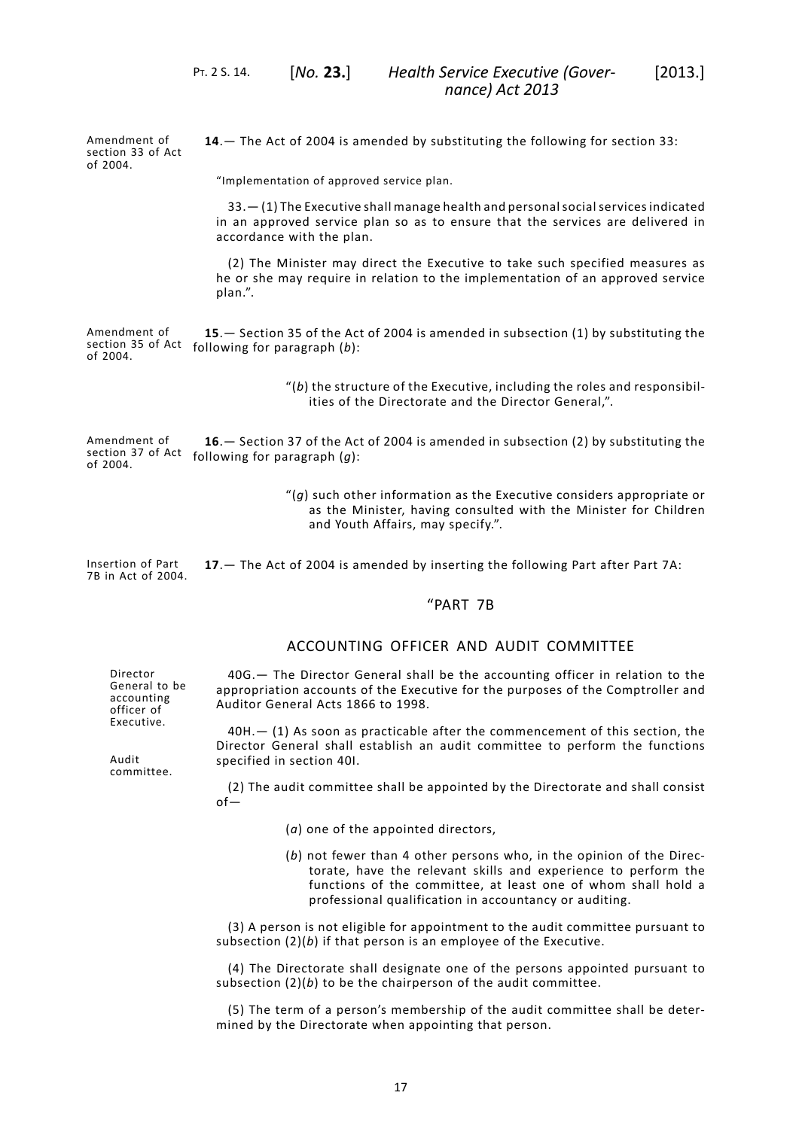Amendment of section 33 of Act of 2004. **14**.— The Act of 2004 is amended by substituting the following for section 33:

"Implementation of approved service plan.

<span id="page-20-0"></span>PT. 2 S. 14. [*No.* **23.**]

33.— (1) The Executive shall manage health and personalsocialservicesindicated in an approved service plan so as to ensure that the services are delivered in accordance with the plan.

<span id="page-20-1"></span>(2) The Minister may direct the Executive to take such specified measures as he or she may require in relation to the implementation of an approved service plan.".

Amendment of section 35 of Act following for paragraph (*b*): of 2004. **15**.— Section 35 of the Act of 2004 is amended in subsection (1) by substituting the

> "(*b*) the structure of the Executive, including the roles and responsibilities of the Directorate and the Director General,".

<span id="page-20-2"></span>Amendment of section 37 of Act following for paragraph (*g*): of 2004. **16**.— Section 37 of the Act of 2004 is amended in subsection (2) by substituting the

> "(*g*) such other information as the Executive considers appropriate or as the Minister, having consulted with the Minister for Children and Youth Affairs, may specify.".

<span id="page-20-3"></span>Insertion of Part 7B in Act of 2004. **17**.— The Act of 2004 is amended by inserting the following Part after Part 7A:

# "PART 7B

# ACCOUNTING OFFICER AND AUDIT COMMITTEE

General to be 40G.— The Director General shall be the accounting officer in relation to the appropriation accounts of the Executive for the purposes of the Comptroller and Auditor General Acts 1866 to 1998.

> 40H.— (1) As soon as practicable after the commencement of this section, the Director General shall establish an audit committee to perform the functions specified in section 40I.

(2) The audit committee shall be appointed by the Directorate and shall consist of—

- (*a*) one of the appointed directors,
- (*b*) not fewer than 4 other persons who, in the opinion of the Directorate, have the relevant skills and experience to perform the functions of the committee, at least one of whom shall hold a professional qualification in accountancy or auditing.

(3) A person is not eligible for appointment to the audit committee pursuant to subsection (2)(*b*) if that person is an employee of the Executive.

(4) The Directorate shall designate one of the persons appointed pursuant to subsection (2)(*b*) to be the chairperson of the audit committee.

(5) The term of a person's membership of the audit committee shall be determined by the Directorate when appointing that person.

Audit committee.

Director

accounting officer of Executive.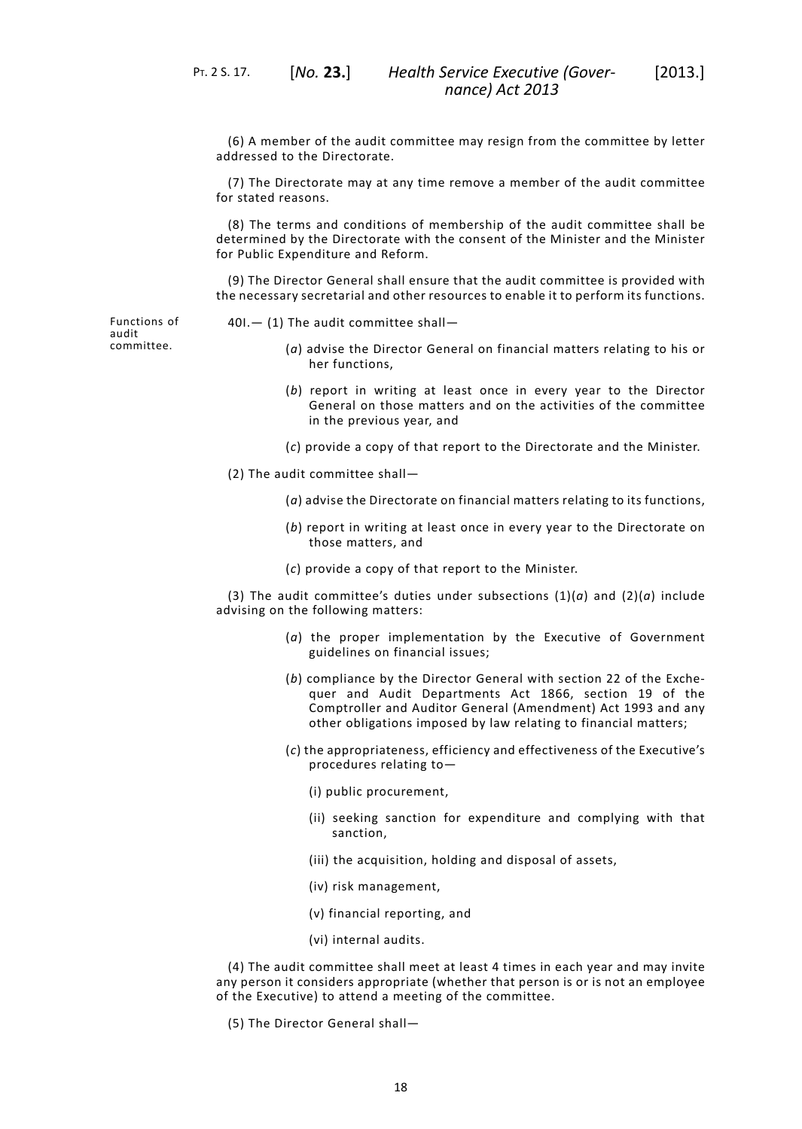(6) A member of the audit committee may resign from the committee by letter addressed to the Directorate.

(7) The Directorate may at any time remove a member of the audit committee for stated reasons.

(8) The terms and conditions of membership of the audit committee shall be determined by the Directorate with the consent of the Minister and the Minister for Public Expenditure and Reform.

(9) The Director General shall ensure that the audit committee is provided with the necessary secretarial and other resources to enable it to perform its functions.

Functions of audit committee.

- 40I.— (1) The audit committee shall—
	- (*a*) advise the Director General on financial matters relating to his or her functions,
	- (*b*) report in writing at least once in every year to the Director General on those matters and on the activities of the committee in the previous year, and
	- (*c*) provide a copy of that report to the Directorate and the Minister.
- (2) The audit committee shall—
	- (*a*) advise the Directorate on financial matters relating to its functions,
	- (*b*) report in writing at least once in every year to the Directorate on those matters, and
	- (*c*) provide a copy of that report to the Minister.

(3) The audit committee's duties under subsections (1)(*a*) and (2)(*a*) include advising on the following matters:

- (*a*) the proper implementation by the Executive of Government guidelines on financial issues;
- (*b*) compliance by the Director General with section 22 of the Exchequer and Audit Departments Act 1866, section 19 of the Comptroller and Auditor General (Amendment) Act 1993 and any other obligations imposed by law relating to financial matters;
- (*c*) the appropriateness, efficiency and effectiveness of the Executive's procedures relating to—
	- (i) public procurement,
	- (ii) seeking sanction for expenditure and complying with that sanction,
	- (iii) the acquisition, holding and disposal of assets,
	- (iv) risk management,
	- (v) financial reporting, and
	- (vi) internal audits.

(4) The audit committee shall meet at least 4 times in each year and may invite any person it considers appropriate (whether that person is or is not an employee of the Executive) to attend a meeting of the committee.

(5) The Director General shall—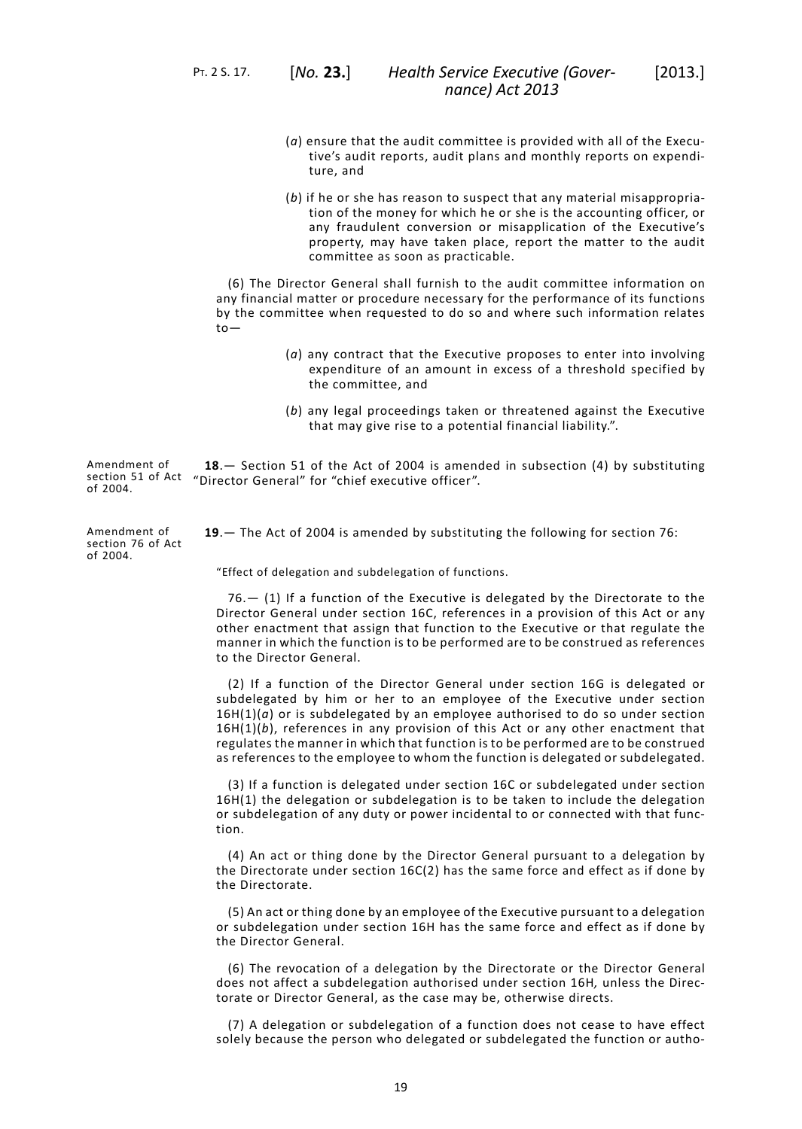PT. 2 S. 17. [*No.* **23.**]

- (*a*) ensure that the audit committee is provided with all of the Executive's audit reports, audit plans and monthly reports on expenditure, and
- (*b*) if he or she has reason to suspect that any material misappropriation of the money for which he or she is the accounting officer, or any fraudulent conversion or misapplication of the Executive's property, may have taken place, report the matter to the audit committee as soon as practicable.

(6) The Director General shall furnish to the audit committee information on any financial matter or procedure necessary for the performance of its functions by the committee when requested to do so and where such information relates to—

- (*a*) any contract that the Executive proposes to enter into involving expenditure of an amount in excess of a threshold specified by the committee, and
- (*b*) any legal proceedings taken or threatened against the Executive that may give rise to a potential financial liability.".

<span id="page-22-0"></span>Amendment of section 51 of Act "Director General" for "chief executive officer". of 2004. **18**.— Section 51 of the Act of 2004 is amended in subsection (4) by substituting

Amendment of section 76 of Act of 2004.

<span id="page-22-1"></span>**19**.— The Act of 2004 is amended by substituting the following for section 76:

"Effect of delegation and subdelegation of functions.

76.— (1) If a function of the Executive is delegated by the Directorate to the Director General under section 16C, references in a provision of this Act or any other enactment that assign that function to the Executive or that regulate the manner in which the function is to be performed are to be construed as references to the Director General.

(2) If a function of the Director General under section 16G is delegated or subdelegated by him or her to an employee of the Executive under section 16H(1)(*a*) or is subdelegated by an employee authorised to do so under section 16H(1)(*b*), references in any provision of this Act or any other enactment that regulates the manner in which that function is to be performed are to be construed as references to the employee to whom the function is delegated or subdelegated.

(3) If a function is delegated under section 16C or subdelegated under section 16H(1) the delegation or subdelegation is to be taken to include the delegation or subdelegation of any duty or power incidental to or connected with that function.

(4) An act or thing done by the Director General pursuant to a delegation by the Directorate under section 16C(2) has the same force and effect as if done by the Directorate.

(5) An act or thing done by an employee of the Executive pursuant to a delegation or subdelegation under section 16H has the same force and effect as if done by the Director General.

(6) The revocation of a delegation by the Directorate or the Director General does not affect a subdelegation authorised under section 16H*,* unless the Directorate or Director General, as the case may be, otherwise directs.

(7) A delegation or subdelegation of a function does not cease to have effect solely because the person who delegated or subdelegated the function or autho-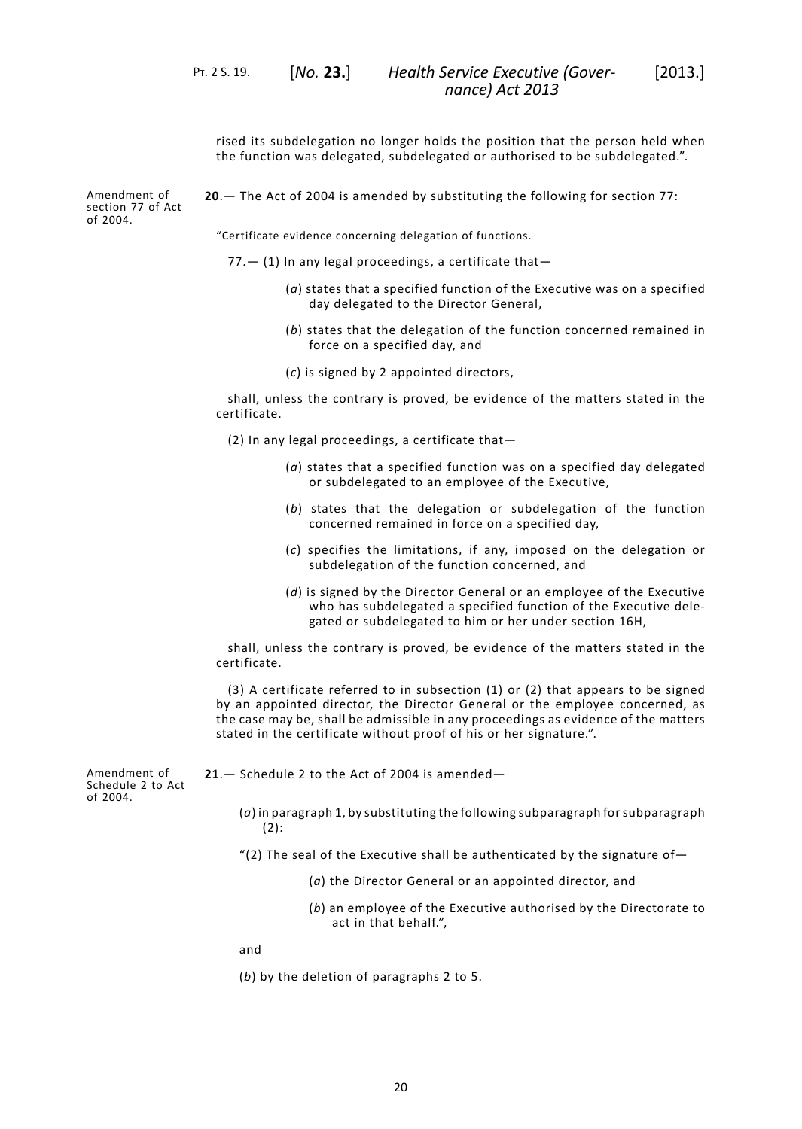rised its subdelegation no longer holds the position that the person held when the function was delegated, subdelegated or authorised to be subdelegated.".

Amendment of section 77 of Act of 2004.

<span id="page-23-0"></span>**20**.— The Act of 2004 is amended by substituting the following for section 77:

"Certificate evidence concerning delegation of functions.

- $77.$   $-$  (1) In any legal proceedings, a certificate that $-$ 
	- (*a*) states that a specified function of the Executive was on a specified day delegated to the Director General,
	- (*b*) states that the delegation of the function concerned remained in force on a specified day, and
	- (*c*) is signed by 2 appointed directors,

shall, unless the contrary is proved, be evidence of the matters stated in the certificate.

(2) In any legal proceedings, a certificate that—

- (*a*) states that a specified function was on a specified day delegated or subdelegated to an employee of the Executive,
- (*b*) states that the delegation or subdelegation of the function concerned remained in force on a specified day,
- (*c*) specifies the limitations, if any, imposed on the delegation or subdelegation of the function concerned, and
- (*d*) is signed by the Director General or an employee of the Executive who has subdelegated a specified function of the Executive delegated or subdelegated to him or her under section 16H,

shall, unless the contrary is proved, be evidence of the matters stated in the certificate.

<span id="page-23-1"></span>(3) A certificate referred to in subsection (1) or (2) that appears to be signed by an appointed director, the Director General or the employee concerned, as the case may be, shall be admissible in any proceedings as evidence of the matters stated in the certificate without proof of his or her signature.".

**21**.— Schedule 2 to the Act of 2004 is amended—

Amendment of Schedule 2 to Act of 2004.

- (*a*) in paragraph 1, by substituting the following subparagraph forsubparagraph (2):
- "(2) The seal of the Executive shall be authenticated by the signature of-
	- (*a*) the Director General or an appointed director, and
	- (*b*) an employee of the Executive authorised by the Directorate to act in that behalf.",

and

(*b*) by the deletion of paragraphs 2 to 5.